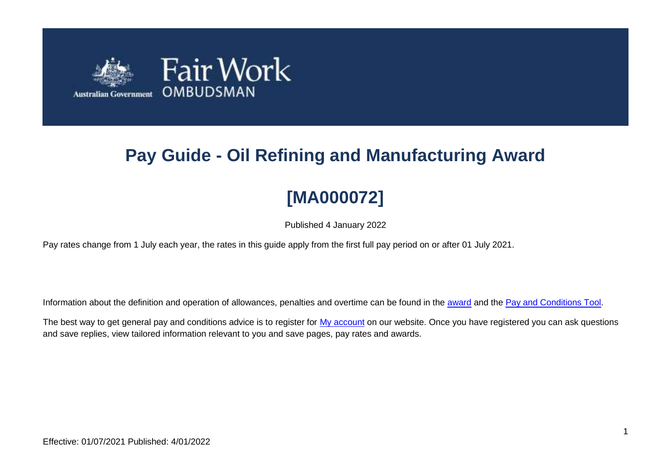

# **Pay Guide - Oil Refining and Manufacturing Award**

# **[MA000072]**

Published 4 January 2022

Pay rates change from 1 July each year, the rates in this guide apply from the first full pay period on or after 01 July 2021.

Information about the definition and operation of allowances, penalties and overtime can be found in the [award](https://www.fairwork.gov.au/awards-and-agreements/awards/list-of-awards) and the [Pay and Conditions Tool.](https://calculate.fairwork.gov.au/)

The best way to get general pay and conditions advice is to register for [My account](https://www.fairwork.gov.au/my-account/registerpage.aspx) on our website. Once you have registered you can ask questions and save replies, view tailored information relevant to you and save pages, pay rates and awards.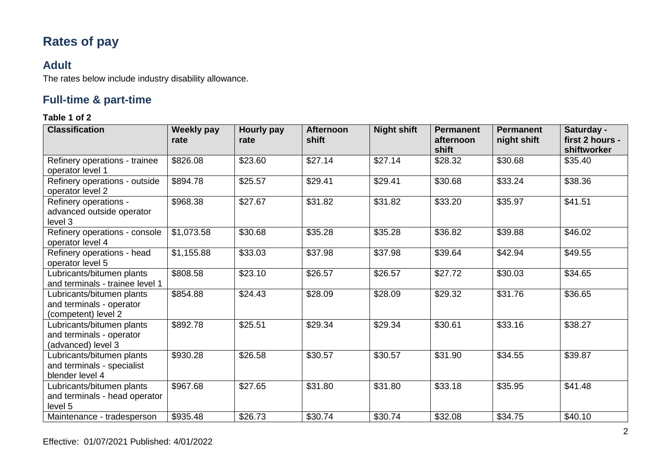# **Rates of pay**

### **Adult**

The rates below include industry disability allowance.

## **Full-time & part-time**

| <b>Classification</b>                                                        | <b>Weekly pay</b><br>rate | <b>Hourly pay</b><br>rate | <b>Afternoon</b><br>shift | <b>Night shift</b> | <b>Permanent</b><br>afternoon<br>shift | <b>Permanent</b><br>night shift | Saturday -<br>first 2 hours -<br>shiftworker |
|------------------------------------------------------------------------------|---------------------------|---------------------------|---------------------------|--------------------|----------------------------------------|---------------------------------|----------------------------------------------|
| Refinery operations - trainee<br>operator level 1                            | \$826.08                  | \$23.60                   | \$27.14                   | \$27.14            | \$28.32                                | \$30.68                         | \$35.40                                      |
| Refinery operations - outside<br>operator level 2                            | \$894.78                  | \$25.57                   | \$29.41                   | \$29.41            | \$30.68                                | \$33.24                         | \$38.36                                      |
| Refinery operations -<br>advanced outside operator<br>level 3                | \$968.38                  | \$27.67                   | \$31.82                   | \$31.82            | \$33.20                                | \$35.97                         | \$41.51                                      |
| Refinery operations - console<br>operator level 4                            | \$1,073.58                | \$30.68                   | \$35.28                   | \$35.28            | \$36.82                                | \$39.88                         | \$46.02                                      |
| Refinery operations - head<br>operator level 5                               | \$1,155.88                | \$33.03                   | \$37.98                   | \$37.98            | \$39.64                                | \$42.94                         | \$49.55                                      |
| Lubricants/bitumen plants<br>and terminals - trainee level 1                 | \$808.58                  | \$23.10                   | \$26.57                   | \$26.57            | \$27.72                                | \$30.03                         | \$34.65                                      |
| Lubricants/bitumen plants<br>and terminals - operator<br>(competent) level 2 | \$854.88                  | \$24.43                   | \$28.09                   | \$28.09            | \$29.32                                | \$31.76                         | \$36.65                                      |
| Lubricants/bitumen plants<br>and terminals - operator<br>(advanced) level 3  | \$892.78                  | \$25.51                   | \$29.34                   | \$29.34            | \$30.61                                | \$33.16                         | \$38.27                                      |
| Lubricants/bitumen plants<br>and terminals - specialist<br>blender level 4   | \$930.28                  | \$26.58                   | \$30.57                   | \$30.57            | \$31.90                                | \$34.55                         | \$39.87                                      |
| Lubricants/bitumen plants<br>and terminals - head operator<br>level 5        | \$967.68                  | \$27.65                   | \$31.80                   | \$31.80            | \$33.18                                | \$35.95                         | \$41.48                                      |
| Maintenance - tradesperson                                                   | \$935.48                  | \$26.73                   | \$30.74                   | \$30.74            | \$32.08                                | \$34.75                         | \$40.10                                      |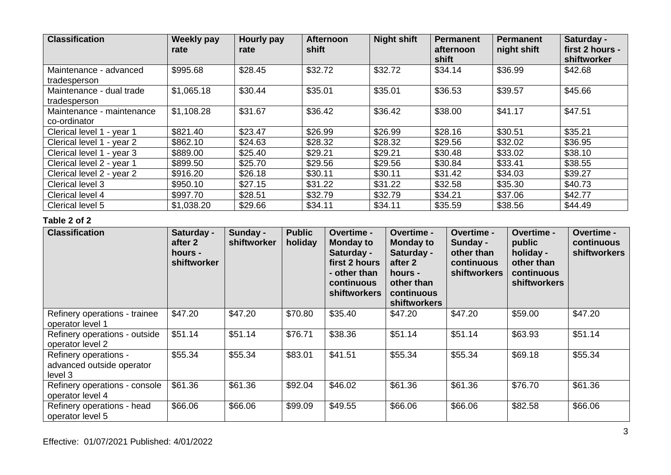| <b>Classification</b>     | <b>Weekly pay</b><br>rate | <b>Hourly pay</b><br>rate | <b>Afternoon</b><br>shift | <b>Night shift</b> | <b>Permanent</b><br>afternoon<br>shift | <b>Permanent</b><br>night shift | Saturday -<br>first 2 hours -<br>shiftworker |
|---------------------------|---------------------------|---------------------------|---------------------------|--------------------|----------------------------------------|---------------------------------|----------------------------------------------|
| Maintenance - advanced    | \$995.68                  | \$28.45                   | \$32.72                   | \$32.72            | \$34.14                                | \$36.99                         | \$42.68                                      |
| tradesperson              |                           |                           |                           |                    |                                        |                                 |                                              |
| Maintenance - dual trade  | \$1,065.18                | \$30.44                   | \$35.01                   | \$35.01            | \$36.53                                | \$39.57                         | \$45.66                                      |
| tradesperson              |                           |                           |                           |                    |                                        |                                 |                                              |
| Maintenance - maintenance | \$1,108.28                | \$31.67                   | \$36.42                   | \$36.42            | \$38.00                                | \$41.17                         | \$47.51                                      |
| co-ordinator              |                           |                           |                           |                    |                                        |                                 |                                              |
| Clerical level 1 - year 1 | \$821.40                  | \$23.47                   | \$26.99                   | \$26.99            | \$28.16                                | \$30.51                         | \$35.21                                      |
| Clerical level 1 - year 2 | \$862.10                  | \$24.63                   | \$28.32                   | \$28.32            | \$29.56                                | \$32.02                         | \$36.95                                      |
| Clerical level 1 - year 3 | \$889.00                  | \$25.40                   | \$29.21                   | \$29.21            | \$30.48                                | \$33.02                         | \$38.10                                      |
| Clerical level 2 - year 1 | \$899.50                  | \$25.70                   | \$29.56                   | \$29.56            | \$30.84                                | \$33.41                         | \$38.55                                      |
| Clerical level 2 - year 2 | \$916.20                  | \$26.18                   | \$30.11                   | \$30.11            | \$31.42                                | \$34.03                         | \$39.27                                      |
| Clerical level 3          | \$950.10                  | \$27.15                   | \$31.22                   | \$31.22            | \$32.58                                | \$35.30                         | \$40.73                                      |
| Clerical level 4          | \$997.70                  | \$28.51                   | \$32.79                   | \$32.79            | \$34.21                                | \$37.06                         | \$42.77                                      |
| Clerical level 5          | \$1,038.20                | \$29.66                   | \$34.11                   | \$34.11            | \$35.59                                | \$38.56                         | \$44.49                                      |

| <b>Classification</b>                                         | Saturday -<br>after 2<br>hours -<br>shiftworker | Sunday -<br>shiftworker | <b>Public</b><br>holiday | Overtime -<br><b>Monday to</b><br>Saturday -<br>first 2 hours<br>- other than<br>continuous<br><b>shiftworkers</b> | Overtime -<br><b>Monday to</b><br>Saturday -<br>after 2<br>hours -<br>other than<br>continuous<br><b>shiftworkers</b> | <b>Overtime -</b><br>Sunday -<br>other than<br>continuous<br><b>shiftworkers</b> | Overtime -<br>public<br>holiday -<br>other than<br>continuous<br><b>shiftworkers</b> | Overtime -<br>continuous<br><b>shiftworkers</b> |
|---------------------------------------------------------------|-------------------------------------------------|-------------------------|--------------------------|--------------------------------------------------------------------------------------------------------------------|-----------------------------------------------------------------------------------------------------------------------|----------------------------------------------------------------------------------|--------------------------------------------------------------------------------------|-------------------------------------------------|
| Refinery operations - trainee<br>operator level 1             | \$47.20                                         | \$47.20                 | \$70.80                  | \$35.40                                                                                                            | \$47.20                                                                                                               | \$47.20                                                                          | \$59.00                                                                              | \$47.20                                         |
| Refinery operations - outside<br>operator level 2             | \$51.14                                         | \$51.14                 | \$76.71                  | \$38.36                                                                                                            | \$51.14                                                                                                               | \$51.14                                                                          | \$63.93                                                                              | \$51.14                                         |
| Refinery operations -<br>advanced outside operator<br>level 3 | \$55.34                                         | \$55.34                 | \$83.01                  | \$41.51                                                                                                            | \$55.34                                                                                                               | \$55.34                                                                          | \$69.18                                                                              | \$55.34                                         |
| Refinery operations - console<br>operator level 4             | \$61.36                                         | \$61.36                 | \$92.04                  | \$46.02                                                                                                            | \$61.36                                                                                                               | \$61.36                                                                          | \$76.70                                                                              | \$61.36                                         |
| Refinery operations - head<br>operator level 5                | \$66.06                                         | \$66.06                 | \$99.09                  | \$49.55                                                                                                            | \$66.06                                                                                                               | \$66.06                                                                          | \$82.58                                                                              | \$66.06                                         |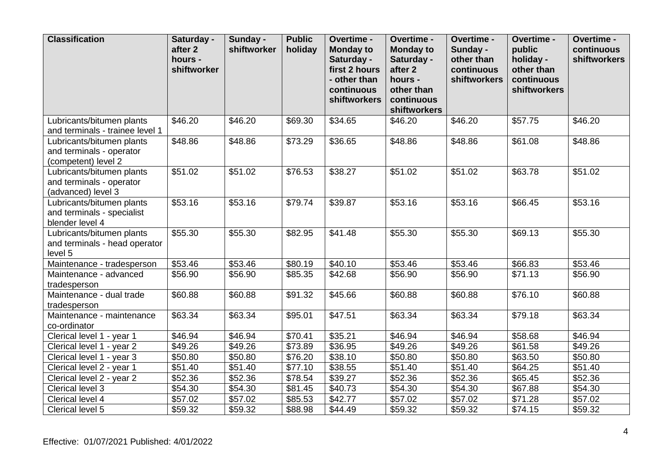| <b>Classification</b>                                                        | Saturday -<br>after 2<br>hours -<br>shiftworker | Sunday -<br>shiftworker | <b>Public</b><br>holiday | Overtime -<br><b>Monday to</b><br>Saturday -<br>first 2 hours<br>- other than<br>continuous<br>shiftworkers | Overtime -<br><b>Monday to</b><br>Saturday -<br>after 2<br>hours -<br>other than<br>continuous<br>shiftworkers | Overtime -<br>Sunday -<br>other than<br>continuous<br>shiftworkers | Overtime -<br>public<br>holiday -<br>other than<br>continuous<br>shiftworkers | Overtime -<br>continuous<br><b>shiftworkers</b> |
|------------------------------------------------------------------------------|-------------------------------------------------|-------------------------|--------------------------|-------------------------------------------------------------------------------------------------------------|----------------------------------------------------------------------------------------------------------------|--------------------------------------------------------------------|-------------------------------------------------------------------------------|-------------------------------------------------|
| Lubricants/bitumen plants<br>and terminals - trainee level 1                 | \$46.20                                         | \$46.20                 | \$69.30                  | \$34.65                                                                                                     | \$46.20                                                                                                        | \$46.20                                                            | \$57.75                                                                       | \$46.20                                         |
| Lubricants/bitumen plants<br>and terminals - operator<br>(competent) level 2 | \$48.86                                         | \$48.86                 | \$73.29                  | \$36.65                                                                                                     | \$48.86                                                                                                        | \$48.86                                                            | \$61.08                                                                       | $\overline{$}48.86$                             |
| Lubricants/bitumen plants<br>and terminals - operator<br>(advanced) level 3  | \$51.02                                         | \$51.02                 | \$76.53                  | \$38.27                                                                                                     | \$51.02                                                                                                        | \$51.02                                                            | \$63.78                                                                       | \$51.02                                         |
| Lubricants/bitumen plants<br>and terminals - specialist<br>blender level 4   | \$53.16                                         | \$53.16                 | \$79.74                  | \$39.87                                                                                                     | \$53.16                                                                                                        | \$53.16                                                            | \$66.45                                                                       | \$53.16                                         |
| Lubricants/bitumen plants<br>and terminals - head operator<br>level 5        | \$55.30                                         | \$55.30                 | \$82.95                  | \$41.48                                                                                                     | \$55.30                                                                                                        | \$55.30                                                            | \$69.13                                                                       | \$55.30                                         |
| Maintenance - tradesperson                                                   | \$53.46                                         | \$53.46                 | \$80.19                  | \$40.10                                                                                                     | \$53.46                                                                                                        | \$53.46                                                            | \$66.83                                                                       | \$53.46                                         |
| Maintenance - advanced<br>tradesperson                                       | \$56.90                                         | \$56.90                 | \$85.35                  | \$42.68                                                                                                     | \$56.90                                                                                                        | \$56.90                                                            | \$71.13                                                                       | \$56.90                                         |
| Maintenance - dual trade<br>tradesperson                                     | \$60.88                                         | \$60.88                 | \$91.32                  | \$45.66                                                                                                     | \$60.88                                                                                                        | \$60.88                                                            | \$76.10                                                                       | \$60.88                                         |
| Maintenance - maintenance<br>co-ordinator                                    | \$63.34                                         | \$63.34                 | \$95.01                  | \$47.51                                                                                                     | \$63.34                                                                                                        | \$63.34                                                            | \$79.18                                                                       | \$63.34                                         |
| Clerical level 1 - year 1                                                    | \$46.94                                         | \$46.94                 | \$70.41                  | \$35.21                                                                                                     | \$46.94                                                                                                        | \$46.94                                                            | \$58.68                                                                       | \$46.94                                         |
| Clerical level 1 - year 2                                                    | \$49.26                                         | $\overline{$}49.26$     | \$73.89                  | \$36.95                                                                                                     | \$49.26                                                                                                        | \$49.26                                                            | \$61.58                                                                       | \$49.26                                         |
| Clerical level 1 - year 3                                                    | \$50.80                                         | \$50.80                 | \$76.20                  | \$38.10                                                                                                     | \$50.80                                                                                                        | \$50.80                                                            | \$63.50                                                                       | \$50.80                                         |
| Clerical level 2 - year 1                                                    | \$51.40                                         | \$51.40                 | \$77.10                  | \$38.55                                                                                                     | \$51.40                                                                                                        | \$51.40                                                            | \$64.25                                                                       | \$51.40                                         |
| Clerical level 2 - year 2                                                    | \$52.36                                         | \$52.36                 | \$78.54                  | \$39.27                                                                                                     | \$52.36                                                                                                        | \$52.36                                                            | \$65.45                                                                       | \$52.36                                         |
| Clerical level 3                                                             | \$54.30                                         | \$54.30                 | \$81.45                  | \$40.73                                                                                                     | \$54.30                                                                                                        | \$54.30                                                            | \$67.88                                                                       | \$54.30                                         |
| Clerical level 4                                                             | \$57.02                                         | \$57.02                 | \$85.53                  | \$42.77                                                                                                     | \$57.02                                                                                                        | \$57.02                                                            | \$71.28                                                                       | \$57.02                                         |
| Clerical level 5                                                             | \$59.32                                         | \$59.32                 | \$88.98                  | \$44.49                                                                                                     | \$59.32                                                                                                        | \$59.32                                                            | \$74.15                                                                       | \$59.32                                         |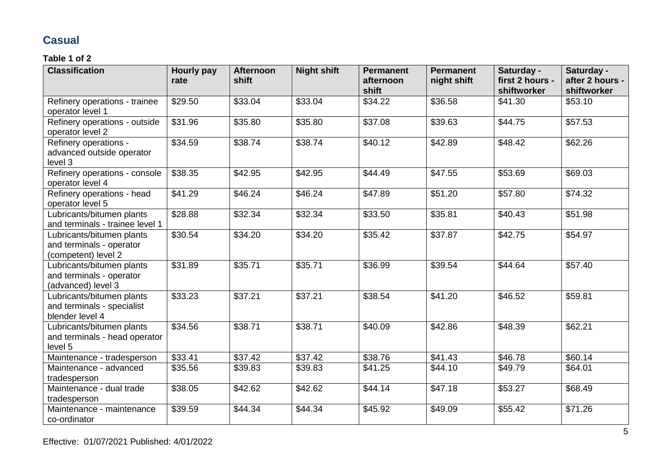# **Casual**

| <b>Classification</b>                                                        | Hourly pay<br>rate | <b>Afternoon</b><br>shift | <b>Night shift</b> | <b>Permanent</b><br>afternoon<br>shift | <b>Permanent</b><br>night shift | Saturday -<br>first 2 hours -<br>shiftworker | Saturday -<br>after 2 hours -<br>shiftworker |
|------------------------------------------------------------------------------|--------------------|---------------------------|--------------------|----------------------------------------|---------------------------------|----------------------------------------------|----------------------------------------------|
| Refinery operations - trainee<br>operator level 1                            | \$29.50            | \$33.04                   | \$33.04            | \$34.22                                | $\overline{$}36.58$             | \$41.30                                      | \$53.10                                      |
| Refinery operations - outside<br>operator level 2                            | \$31.96            | \$35.80                   | \$35.80            | \$37.08                                | \$39.63                         | \$44.75                                      | \$57.53                                      |
| Refinery operations -<br>advanced outside operator<br>level 3                | \$34.59            | \$38.74                   | \$38.74            | \$40.12                                | \$42.89                         | \$48.42                                      | \$62.26                                      |
| Refinery operations - console<br>operator level 4                            | \$38.35            | \$42.95                   | \$42.95            | \$44.49                                | \$47.55                         | \$53.69                                      | \$69.03                                      |
| Refinery operations - head<br>operator level 5                               | \$41.29            | \$46.24                   | \$46.24            | \$47.89                                | \$51.20                         | \$57.80                                      | \$74.32                                      |
| Lubricants/bitumen plants<br>and terminals - trainee level 1                 | \$28.88            | \$32.34                   | \$32.34            | \$33.50                                | \$35.81                         | \$40.43                                      | \$51.98                                      |
| Lubricants/bitumen plants<br>and terminals - operator<br>(competent) level 2 | \$30.54            | \$34.20                   | \$34.20            | \$35.42                                | \$37.87                         | \$42.75                                      | \$54.97                                      |
| Lubricants/bitumen plants<br>and terminals - operator<br>(advanced) level 3  | \$31.89            | \$35.71                   | \$35.71            | \$36.99                                | \$39.54                         | \$44.64                                      | \$57.40                                      |
| Lubricants/bitumen plants<br>and terminals - specialist<br>blender level 4   | \$33.23            | \$37.21                   | \$37.21            | \$38.54                                | \$41.20                         | \$46.52                                      | \$59.81                                      |
| Lubricants/bitumen plants<br>and terminals - head operator<br>level 5        | \$34.56            | \$38.71                   | \$38.71            | \$40.09                                | \$42.86                         | \$48.39                                      | \$62.21                                      |
| Maintenance - tradesperson                                                   | \$33.41            | \$37.42                   | \$37.42            | \$38.76                                | \$41.43                         | \$46.78                                      | \$60.14                                      |
| Maintenance - advanced<br>tradesperson                                       | \$35.56            | \$39.83                   | \$39.83            | \$41.25                                | \$44.10                         | \$49.79                                      | \$64.01                                      |
| Maintenance - dual trade<br>tradesperson                                     | \$38.05            | \$42.62                   | \$42.62            | \$44.14                                | \$47.18                         | $\overline{$}53.27$                          | \$68.49                                      |
| Maintenance - maintenance<br>co-ordinator                                    | \$39.59            | \$44.34                   | \$44.34            | \$45.92                                | \$49.09                         | \$55.42                                      | \$71.26                                      |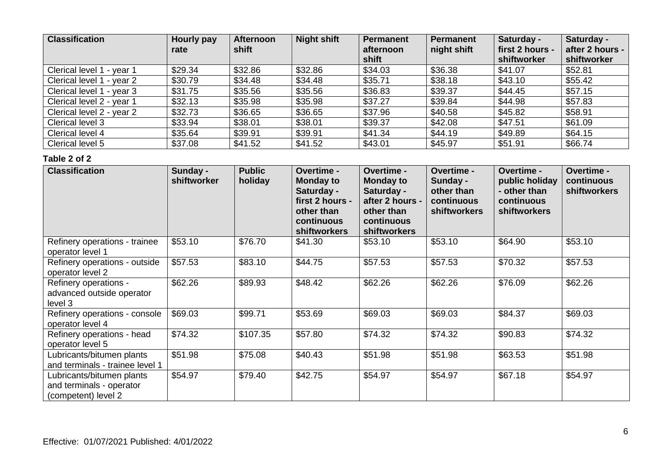| <b>Classification</b>     | Hourly pay<br>rate | <b>Afternoon</b><br>shift | <b>Night shift</b> | Permanent<br>afternoon<br>shift | <b>Permanent</b><br>night shift | Saturday -<br>first 2 hours -<br>shiftworker | Saturday -<br>after 2 hours -<br>shiftworker |
|---------------------------|--------------------|---------------------------|--------------------|---------------------------------|---------------------------------|----------------------------------------------|----------------------------------------------|
| Clerical level 1 - year 1 | \$29.34            | \$32.86                   | \$32.86            | \$34.03                         | \$36.38                         | \$41.07                                      | \$52.81                                      |
| Clerical level 1 - year 2 | \$30.79            | \$34.48                   | \$34.48            | \$35.71                         | \$38.18                         | \$43.10                                      | \$55.42                                      |
| Clerical level 1 - year 3 | \$31.75            | \$35.56                   | \$35.56            | \$36.83                         | \$39.37                         | \$44.45                                      | \$57.15                                      |
| Clerical level 2 - year 1 | \$32.13            | \$35.98                   | \$35.98            | \$37.27                         | \$39.84                         | \$44.98                                      | \$57.83                                      |
| Clerical level 2 - year 2 | \$32.73            | \$36.65                   | \$36.65            | \$37.96                         | \$40.58                         | \$45.82                                      | \$58.91                                      |
| Clerical level 3          | \$33.94            | \$38.01                   | \$38.01            | \$39.37                         | \$42.08                         | \$47.51                                      | \$61.09                                      |
| Clerical level 4          | \$35.64            | \$39.91                   | \$39.91            | \$41.34                         | \$44.19                         | \$49.89                                      | \$64.15                                      |
| Clerical level 5          | \$37.08            | \$41.52                   | \$41.52            | \$43.01                         | \$45.97                         | \$51.91                                      | \$66.74                                      |

| <b>Classification</b>                                                        | Sunday -<br>shiftworker | <b>Public</b><br>holiday | Overtime -<br><b>Monday to</b><br>Saturday -<br>first 2 hours -<br>other than<br>continuous<br><b>shiftworkers</b> | Overtime -<br><b>Monday to</b><br>Saturday -<br>after 2 hours -<br>other than<br>continuous<br>shiftworkers | <b>Overtime -</b><br>Sunday -<br>other than<br>continuous<br><b>shiftworkers</b> | Overtime -<br>public holiday<br>- other than<br>continuous<br><b>shiftworkers</b> | Overtime -<br>continuous<br><b>shiftworkers</b> |
|------------------------------------------------------------------------------|-------------------------|--------------------------|--------------------------------------------------------------------------------------------------------------------|-------------------------------------------------------------------------------------------------------------|----------------------------------------------------------------------------------|-----------------------------------------------------------------------------------|-------------------------------------------------|
| Refinery operations - trainee<br>operator level 1                            | \$53.10                 | \$76.70                  | \$41.30                                                                                                            | \$53.10                                                                                                     | \$53.10                                                                          | \$64.90                                                                           | \$53.10                                         |
| Refinery operations - outside<br>operator level 2                            | \$57.53                 | \$83.10                  | \$44.75                                                                                                            | \$57.53                                                                                                     | \$57.53                                                                          | \$70.32                                                                           | \$57.53                                         |
| Refinery operations -<br>advanced outside operator<br>level 3                | \$62.26                 | \$89.93                  | \$48.42                                                                                                            | \$62.26                                                                                                     | \$62.26                                                                          | \$76.09                                                                           | \$62.26                                         |
| Refinery operations - console<br>operator level 4                            | \$69.03                 | \$99.71                  | \$53.69                                                                                                            | \$69.03                                                                                                     | \$69.03                                                                          | \$84.37                                                                           | \$69.03                                         |
| Refinery operations - head<br>operator level 5                               | \$74.32                 | \$107.35                 | \$57.80                                                                                                            | \$74.32                                                                                                     | \$74.32                                                                          | \$90.83                                                                           | \$74.32                                         |
| Lubricants/bitumen plants<br>and terminals - trainee level 1                 | \$51.98                 | \$75.08                  | \$40.43                                                                                                            | \$51.98                                                                                                     | \$51.98                                                                          | \$63.53                                                                           | \$51.98                                         |
| Lubricants/bitumen plants<br>and terminals - operator<br>(competent) level 2 | \$54.97                 | \$79.40                  | \$42.75                                                                                                            | \$54.97                                                                                                     | \$54.97                                                                          | \$67.18                                                                           | \$54.97                                         |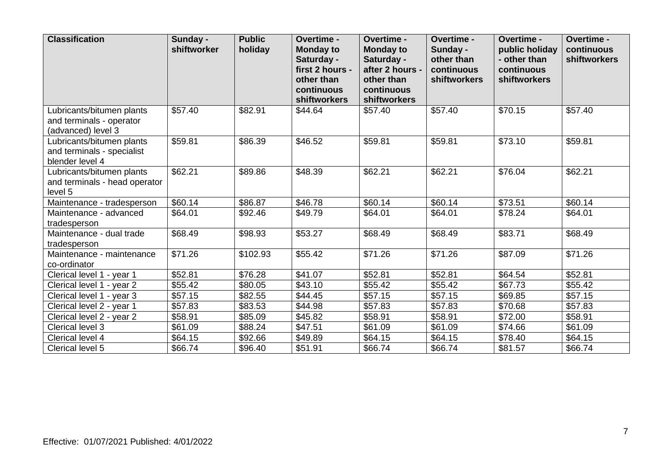| <b>Classification</b>                                                       | Sunday -<br>shiftworker | <b>Public</b><br>holiday | Overtime -<br><b>Monday to</b><br>Saturday -<br>first 2 hours -<br>other than<br>continuous<br>shiftworkers | Overtime -<br><b>Monday to</b><br>Saturday -<br>after 2 hours -<br>other than<br>continuous<br>shiftworkers | Overtime -<br>Sunday -<br>other than<br>continuous<br><b>shiftworkers</b> | Overtime -<br>public holiday<br>- other than<br>continuous<br><b>shiftworkers</b> | Overtime -<br>continuous<br>shiftworkers |
|-----------------------------------------------------------------------------|-------------------------|--------------------------|-------------------------------------------------------------------------------------------------------------|-------------------------------------------------------------------------------------------------------------|---------------------------------------------------------------------------|-----------------------------------------------------------------------------------|------------------------------------------|
| Lubricants/bitumen plants<br>and terminals - operator<br>(advanced) level 3 | \$57.40                 | \$82.91                  | \$44.64                                                                                                     | \$57.40                                                                                                     | \$57.40                                                                   | \$70.15                                                                           | \$57.40                                  |
| Lubricants/bitumen plants<br>and terminals - specialist<br>blender level 4  | \$59.81                 | \$86.39                  | \$46.52                                                                                                     | \$59.81                                                                                                     | \$59.81                                                                   | \$73.10                                                                           | \$59.81                                  |
| Lubricants/bitumen plants<br>and terminals - head operator<br>level 5       | \$62.21                 | \$89.86                  | \$48.39                                                                                                     | \$62.21                                                                                                     | \$62.21                                                                   | \$76.04                                                                           | \$62.21                                  |
| Maintenance - tradesperson                                                  | \$60.14                 | \$86.87                  | \$46.78                                                                                                     | \$60.14                                                                                                     | \$60.14                                                                   | \$73.51                                                                           | \$60.14                                  |
| Maintenance - advanced<br>tradesperson                                      | \$64.01                 | \$92.46                  | \$49.79                                                                                                     | \$64.01                                                                                                     | \$64.01                                                                   | \$78.24                                                                           | \$64.01                                  |
| Maintenance - dual trade<br>tradesperson                                    | \$68.49                 | \$98.93                  | \$53.27                                                                                                     | \$68.49                                                                                                     | \$68.49                                                                   | \$83.71                                                                           | \$68.49                                  |
| Maintenance - maintenance<br>co-ordinator                                   | \$71.26                 | \$102.93                 | \$55.42                                                                                                     | \$71.26                                                                                                     | \$71.26                                                                   | \$87.09                                                                           | \$71.26                                  |
| Clerical level 1 - year 1                                                   | \$52.81                 | \$76.28                  | \$41.07                                                                                                     | \$52.81                                                                                                     | \$52.81                                                                   | \$64.54                                                                           | \$52.81                                  |
| Clerical level 1 - year 2                                                   | \$55.42                 | \$80.05                  | \$43.10                                                                                                     | \$55.42                                                                                                     | \$55.42                                                                   | \$67.73                                                                           | \$55.42                                  |
| Clerical level 1 - year 3                                                   | \$57.15                 | \$82.55                  | \$44.45                                                                                                     | \$57.15                                                                                                     | \$57.15                                                                   | \$69.85                                                                           | \$57.15                                  |
| Clerical level 2 - year 1                                                   | \$57.83                 | \$83.53                  | \$44.98                                                                                                     | \$57.83                                                                                                     | \$57.83                                                                   | \$70.68                                                                           | \$57.83                                  |
| Clerical level 2 - year 2                                                   | \$58.91                 | \$85.09                  | \$45.82                                                                                                     | \$58.91                                                                                                     | \$58.91                                                                   | \$72.00                                                                           | \$58.91                                  |
| Clerical level 3                                                            | \$61.09                 | \$88.24                  | \$47.51                                                                                                     | \$61.09                                                                                                     | \$61.09                                                                   | \$74.66                                                                           | \$61.09                                  |
| Clerical level 4                                                            | \$64.15                 | \$92.66                  | \$49.89                                                                                                     | \$64.15                                                                                                     | \$64.15                                                                   | \$78.40                                                                           | \$64.15                                  |
| Clerical level 5                                                            | \$66.74                 | \$96.40                  | \$51.91                                                                                                     | \$66.74                                                                                                     | \$66.74                                                                   | \$81.57                                                                           | \$66.74                                  |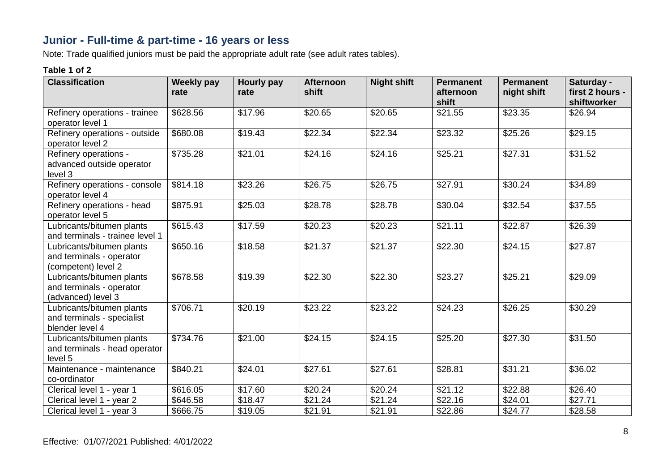# **Junior - Full-time & part-time - 16 years or less**

Note: Trade qualified juniors must be paid the appropriate adult rate (see adult rates tables).

| <b>Classification</b>                                                        | <b>Weekly pay</b><br>rate | Hourly pay<br>rate | <b>Afternoon</b><br>shift | <b>Night shift</b> | <b>Permanent</b><br>afternoon | <b>Permanent</b><br>night shift | Saturday -<br>first 2 hours - |
|------------------------------------------------------------------------------|---------------------------|--------------------|---------------------------|--------------------|-------------------------------|---------------------------------|-------------------------------|
|                                                                              |                           |                    |                           |                    | shift                         |                                 | shiftworker                   |
| Refinery operations - trainee<br>operator level 1                            | \$628.56                  | \$17.96            | \$20.65                   | \$20.65            | \$21.55                       | \$23.35                         | \$26.94                       |
| Refinery operations - outside<br>operator level 2                            | \$680.08                  | \$19.43            | \$22.34                   | \$22.34            | \$23.32                       | \$25.26                         | \$29.15                       |
| Refinery operations -<br>advanced outside operator<br>level 3                | \$735.28                  | \$21.01            | \$24.16                   | \$24.16            | \$25.21                       | \$27.31                         | \$31.52                       |
| Refinery operations - console<br>operator level 4                            | \$814.18                  | \$23.26            | \$26.75                   | \$26.75            | \$27.91                       | \$30.24                         | \$34.89                       |
| Refinery operations - head<br>operator level 5                               | \$875.91                  | \$25.03            | \$28.78                   | \$28.78            | \$30.04                       | \$32.54                         | \$37.55                       |
| Lubricants/bitumen plants<br>and terminals - trainee level 1                 | \$615.43                  | \$17.59            | \$20.23                   | \$20.23            | \$21.11                       | \$22.87                         | \$26.39                       |
| Lubricants/bitumen plants<br>and terminals - operator<br>(competent) level 2 | \$650.16                  | \$18.58            | \$21.37                   | \$21.37            | \$22.30                       | \$24.15                         | \$27.87                       |
| Lubricants/bitumen plants<br>and terminals - operator<br>(advanced) level 3  | \$678.58                  | \$19.39            | \$22.30                   | \$22.30            | \$23.27                       | \$25.21                         | \$29.09                       |
| Lubricants/bitumen plants<br>and terminals - specialist<br>blender level 4   | \$706.71                  | \$20.19            | \$23.22                   | \$23.22            | \$24.23                       | \$26.25                         | \$30.29                       |
| Lubricants/bitumen plants<br>and terminals - head operator<br>level 5        | \$734.76                  | \$21.00            | \$24.15                   | \$24.15            | \$25.20                       | \$27.30                         | \$31.50                       |
| Maintenance - maintenance<br>co-ordinator                                    | \$840.21                  | \$24.01            | \$27.61                   | \$27.61            | \$28.81                       | \$31.21                         | \$36.02                       |
| Clerical level 1 - year 1                                                    | \$616.05                  | \$17.60            | \$20.24                   | \$20.24            | \$21.12                       | \$22.88                         | \$26.40                       |
| Clerical level 1 - year 2                                                    | \$646.58                  | \$18.47            | \$21.24                   | \$21.24            | \$22.16                       | \$24.01                         | \$27.71                       |
| Clerical level 1 - year 3                                                    | \$666.75                  | \$19.05            | \$21.91                   | \$21.91            | \$22.86                       | \$24.77                         | \$28.58                       |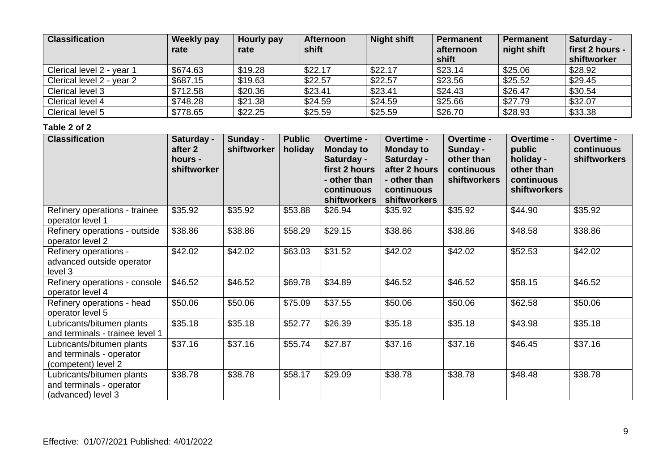| <b>Classification</b>     | <b>Weekly pay</b><br>rate | Hourly pay<br>rate | <b>Afternoon</b><br>shift | <b>Night shift</b> | <b>Permanent</b><br>afternoon<br>shift | <b>Permanent</b><br>night shift | Saturday -<br>first 2 hours -<br>shiftworker |
|---------------------------|---------------------------|--------------------|---------------------------|--------------------|----------------------------------------|---------------------------------|----------------------------------------------|
| Clerical level 2 - year 1 | \$674.63                  | \$19.28            | \$22.17                   | \$22.17            | \$23.14                                | \$25.06                         | \$28.92                                      |
| Clerical level 2 - year 2 | \$687.15                  | \$19.63            | \$22.57                   | \$22.57            | \$23.56                                | \$25.52                         | \$29.45                                      |
| Clerical level 3          | \$712.58                  | \$20.36            | \$23.41                   | \$23.41            | \$24.43                                | \$26.47                         | \$30.54                                      |
| Clerical level 4          | \$748.28                  | \$21.38            | \$24.59                   | \$24.59            | \$25.66                                | \$27.79                         | \$32.07                                      |
| Clerical level 5          | \$778.65                  | \$22.25            | \$25.59                   | \$25.59            | \$26.70                                | \$28.93                         | \$33.38                                      |

| <b>Classification</b>                                                        | Saturday -<br>after 2<br>hours -<br>shiftworker | Sunday -<br>shiftworker | <b>Public</b><br>holiday | Overtime -<br><b>Monday to</b><br>Saturday -<br>first 2 hours<br>- other than<br>continuous<br>shiftworkers | Overtime -<br><b>Monday to</b><br>Saturday -<br>after 2 hours<br>- other than<br>continuous<br><b>shiftworkers</b> | Overtime -<br>Sunday -<br>other than<br>continuous<br>shiftworkers | Overtime -<br>public<br>holiday -<br>other than<br>continuous<br>shiftworkers | Overtime -<br>continuous<br>shiftworkers |
|------------------------------------------------------------------------------|-------------------------------------------------|-------------------------|--------------------------|-------------------------------------------------------------------------------------------------------------|--------------------------------------------------------------------------------------------------------------------|--------------------------------------------------------------------|-------------------------------------------------------------------------------|------------------------------------------|
| Refinery operations - trainee<br>operator level 1                            | \$35.92                                         | \$35.92                 | \$53.88                  | \$26.94                                                                                                     | \$35.92                                                                                                            | \$35.92                                                            | \$44.90                                                                       | \$35.92                                  |
| Refinery operations - outside<br>operator level 2                            | \$38.86                                         | \$38.86                 | \$58.29                  | $\overline{$}29.15$                                                                                         | \$38.86                                                                                                            | \$38.86                                                            | \$48.58                                                                       | \$38.86                                  |
| Refinery operations -<br>advanced outside operator<br>level 3                | \$42.02                                         | \$42.02                 | \$63.03                  | \$31.52                                                                                                     | \$42.02                                                                                                            | \$42.02                                                            | \$52.53                                                                       | \$42.02                                  |
| Refinery operations - console<br>operator level 4                            | \$46.52                                         | \$46.52                 | \$69.78                  | \$34.89                                                                                                     | \$46.52                                                                                                            | \$46.52                                                            | \$58.15                                                                       | \$46.52                                  |
| Refinery operations - head<br>operator level 5                               | \$50.06                                         | \$50.06                 | \$75.09                  | \$37.55                                                                                                     | \$50.06                                                                                                            | \$50.06                                                            | \$62.58                                                                       | \$50.06                                  |
| Lubricants/bitumen plants<br>and terminals - trainee level 1                 | \$35.18                                         | \$35.18                 | \$52.77                  | \$26.39                                                                                                     | \$35.18                                                                                                            | \$35.18                                                            | \$43.98                                                                       | \$35.18                                  |
| Lubricants/bitumen plants<br>and terminals - operator<br>(competent) level 2 | \$37.16                                         | \$37.16                 | \$55.74                  | \$27.87                                                                                                     | \$37.16                                                                                                            | \$37.16                                                            | \$46.45                                                                       | \$37.16                                  |
| Lubricants/bitumen plants<br>and terminals - operator<br>(advanced) level 3  | \$38.78                                         | \$38.78                 | \$58.17                  | \$29.09                                                                                                     | \$38.78                                                                                                            | \$38.78                                                            | \$48.48                                                                       | \$38.78                                  |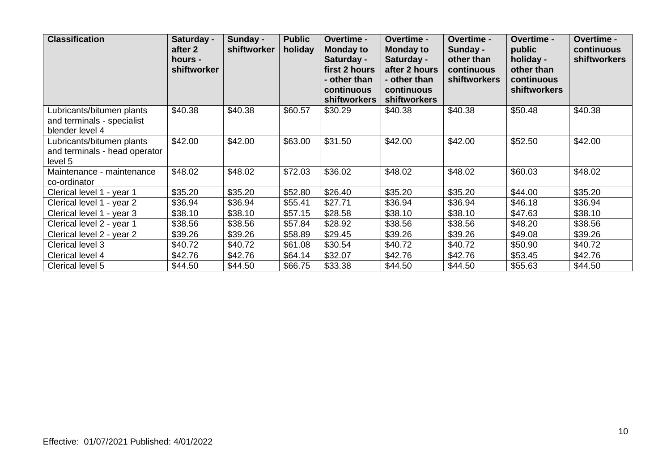| <b>Classification</b>                                                      | Saturday -<br>after 2<br>hours -<br>shiftworker | Sunday -<br>shiftworker | <b>Public</b><br>holiday | <b>Overtime -</b><br><b>Monday to</b><br>Saturday -<br>first 2 hours<br>- other than<br>continuous<br><b>shiftworkers</b> | <b>Overtime -</b><br><b>Monday to</b><br>Saturday -<br>after 2 hours<br>- other than<br>continuous<br><b>shiftworkers</b> | <b>Overtime -</b><br>Sunday -<br>other than<br>continuous<br><b>shiftworkers</b> | Overtime -<br>public<br>holiday -<br>other than<br>continuous<br><b>shiftworkers</b> | <b>Overtime -</b><br>continuous<br><b>shiftworkers</b> |
|----------------------------------------------------------------------------|-------------------------------------------------|-------------------------|--------------------------|---------------------------------------------------------------------------------------------------------------------------|---------------------------------------------------------------------------------------------------------------------------|----------------------------------------------------------------------------------|--------------------------------------------------------------------------------------|--------------------------------------------------------|
| Lubricants/bitumen plants<br>and terminals - specialist<br>blender level 4 | \$40.38                                         | \$40.38                 | \$60.57                  | \$30.29                                                                                                                   | \$40.38                                                                                                                   | \$40.38                                                                          | \$50.48                                                                              | \$40.38                                                |
| Lubricants/bitumen plants<br>and terminals - head operator<br>level 5      | \$42.00                                         | \$42.00                 | \$63.00                  | \$31.50                                                                                                                   | \$42.00                                                                                                                   | \$42.00                                                                          | \$52.50                                                                              | \$42.00                                                |
| Maintenance - maintenance<br>co-ordinator                                  | \$48.02                                         | \$48.02                 | \$72.03                  | \$36.02                                                                                                                   | \$48.02                                                                                                                   | \$48.02                                                                          | \$60.03                                                                              | \$48.02                                                |
| Clerical level 1 - year 1                                                  | \$35.20                                         | \$35.20                 | \$52.80                  | \$26.40                                                                                                                   | \$35.20                                                                                                                   | \$35.20                                                                          | \$44.00                                                                              | \$35.20                                                |
| Clerical level 1 - year 2                                                  | \$36.94                                         | \$36.94                 | \$55.41                  | \$27.71                                                                                                                   | \$36.94                                                                                                                   | \$36.94                                                                          | \$46.18                                                                              | \$36.94                                                |
| Clerical level 1 - year 3                                                  | \$38.10                                         | \$38.10                 | \$57.15                  | \$28.58                                                                                                                   | \$38.10                                                                                                                   | \$38.10                                                                          | \$47.63                                                                              | \$38.10                                                |
| Clerical level 2 - year 1                                                  | \$38.56                                         | \$38.56                 | \$57.84                  | \$28.92                                                                                                                   | \$38.56                                                                                                                   | \$38.56                                                                          | \$48.20                                                                              | \$38.56                                                |
| Clerical level 2 - year 2                                                  | \$39.26                                         | \$39.26                 | \$58.89                  | \$29.45                                                                                                                   | \$39.26                                                                                                                   | \$39.26                                                                          | \$49.08                                                                              | \$39.26                                                |
| Clerical level 3                                                           | \$40.72                                         | \$40.72                 | \$61.08                  | \$30.54                                                                                                                   | \$40.72                                                                                                                   | \$40.72                                                                          | \$50.90                                                                              | \$40.72                                                |
| Clerical level 4                                                           | \$42.76                                         | \$42.76                 | \$64.14                  | \$32.07                                                                                                                   | \$42.76                                                                                                                   | \$42.76                                                                          | \$53.45                                                                              | \$42.76                                                |
| Clerical level 5                                                           | \$44.50                                         | \$44.50                 | \$66.75                  | \$33.38                                                                                                                   | \$44.50                                                                                                                   | \$44.50                                                                          | \$55.63                                                                              | \$44.50                                                |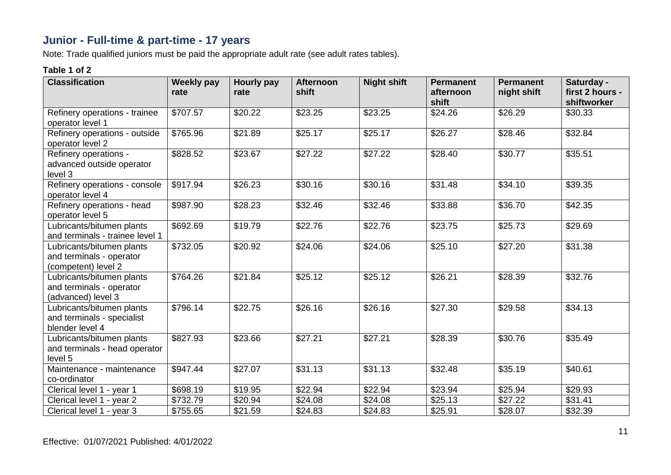# **Junior - Full-time & part-time - 17 years**

Note: Trade qualified juniors must be paid the appropriate adult rate (see adult rates tables).

| <b>Classification</b>                                                        | <b>Weekly pay</b><br>rate | <b>Hourly pay</b><br>rate | <b>Afternoon</b><br>shift | <b>Night shift</b> | <b>Permanent</b><br>afternoon<br>shift | <b>Permanent</b><br>night shift | Saturday -<br>first 2 hours -<br>shiftworker |
|------------------------------------------------------------------------------|---------------------------|---------------------------|---------------------------|--------------------|----------------------------------------|---------------------------------|----------------------------------------------|
| Refinery operations - trainee<br>operator level 1                            | \$707.57                  | \$20.22                   | \$23.25                   | \$23.25            | \$24.26                                | \$26.29                         | \$30.33                                      |
| Refinery operations - outside<br>operator level 2                            | \$765.96                  | \$21.89                   | \$25.17                   | \$25.17            | \$26.27                                | \$28.46                         | \$32.84                                      |
| Refinery operations -<br>advanced outside operator<br>level 3                | \$828.52                  | \$23.67                   | \$27.22                   | \$27.22            | \$28.40                                | \$30.77                         | \$35.51                                      |
| Refinery operations - console<br>operator level 4                            | \$917.94                  | \$26.23                   | \$30.16                   | \$30.16            | \$31.48                                | \$34.10                         | \$39.35                                      |
| Refinery operations - head<br>operator level 5                               | \$987.90                  | \$28.23                   | \$32.46                   | \$32.46            | \$33.88                                | \$36.70                         | \$42.35                                      |
| Lubricants/bitumen plants<br>and terminals - trainee level 1                 | \$692.69                  | \$19.79                   | \$22.76                   | \$22.76            | \$23.75                                | \$25.73                         | \$29.69                                      |
| Lubricants/bitumen plants<br>and terminals - operator<br>(competent) level 2 | \$732.05                  | \$20.92                   | \$24.06                   | \$24.06            | \$25.10                                | \$27.20                         | \$31.38                                      |
| Lubricants/bitumen plants<br>and terminals - operator<br>(advanced) level 3  | \$764.26                  | \$21.84                   | \$25.12                   | \$25.12            | \$26.21                                | \$28.39                         | \$32.76                                      |
| Lubricants/bitumen plants<br>and terminals - specialist<br>blender level 4   | \$796.14                  | \$22.75                   | \$26.16                   | \$26.16            | \$27.30                                | \$29.58                         | \$34.13                                      |
| Lubricants/bitumen plants<br>and terminals - head operator<br>level 5        | \$827.93                  | \$23.66                   | \$27.21                   | \$27.21            | \$28.39                                | \$30.76                         | \$35.49                                      |
| Maintenance - maintenance<br>co-ordinator                                    | \$947.44                  | \$27.07                   | \$31.13                   | \$31.13            | \$32.48                                | \$35.19                         | \$40.61                                      |
| Clerical level 1 - year 1                                                    | \$698.19                  | \$19.95                   | \$22.94                   | \$22.94            | \$23.94                                | \$25.94                         | \$29.93                                      |
| Clerical level 1 - year 2                                                    | \$732.79                  | \$20.94                   | \$24.08                   | \$24.08            | \$25.13                                | \$27.22                         | \$31.41                                      |
| Clerical level 1 - year 3                                                    | \$755.65                  | \$21.59                   | \$24.83                   | \$24.83            | \$25.91                                | \$28.07                         | \$32.39                                      |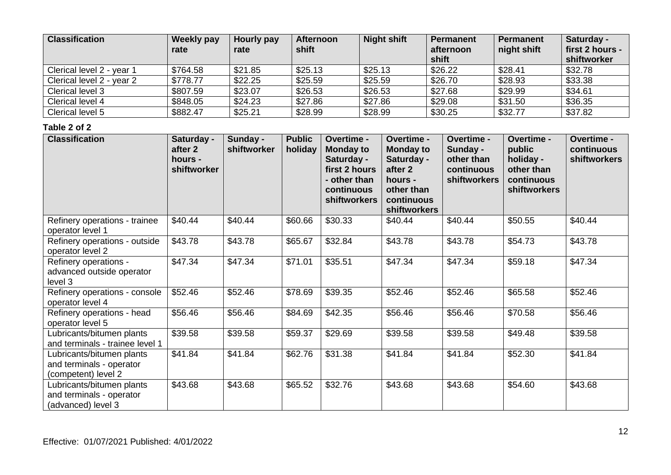| <b>Classification</b>     | <b>Weekly pay</b><br>rate | Hourly pay<br>rate | <b>Afternoon</b><br>shift | <b>Night shift</b> | <b>Permanent</b><br>afternoon<br>shift | <b>Permanent</b><br>night shift | Saturday -<br>first 2 hours -<br>shiftworker |
|---------------------------|---------------------------|--------------------|---------------------------|--------------------|----------------------------------------|---------------------------------|----------------------------------------------|
| Clerical level 2 - year 1 | \$764.58                  | \$21.85            | \$25.13                   | \$25.13            | \$26.22                                | \$28.41                         | \$32.78                                      |
| Clerical level 2 - year 2 | \$778.77                  | \$22.25            | \$25.59                   | \$25.59            | \$26.70                                | \$28.93                         | \$33.38                                      |
| Clerical level 3          | \$807.59                  | \$23.07            | \$26.53                   | \$26.53            | \$27.68                                | \$29.99                         | \$34.61                                      |
| Clerical level 4          | \$848.05                  | \$24.23            | \$27.86                   | \$27.86            | \$29.08                                | \$31.50                         | \$36.35                                      |
| Clerical level 5          | \$882.47                  | \$25.21            | \$28.99                   | \$28.99            | \$30.25                                | \$32.77                         | \$37.82                                      |

| <b>Classification</b>                                                        | Saturday -<br>after 2<br>hours -<br>shiftworker | Sunday -<br>shiftworker | <b>Public</b><br>holiday | Overtime -<br><b>Monday to</b><br>Saturday -<br>first 2 hours<br>- other than<br>continuous<br>shiftworkers | Overtime -<br><b>Monday to</b><br>Saturday -<br>after 2<br>hours -<br>other than<br>continuous<br>shiftworkers | Overtime -<br>Sunday -<br>other than<br>continuous<br>shiftworkers | Overtime -<br>public<br>holiday -<br>other than<br>continuous<br>shiftworkers | Overtime -<br>continuous<br>shiftworkers |
|------------------------------------------------------------------------------|-------------------------------------------------|-------------------------|--------------------------|-------------------------------------------------------------------------------------------------------------|----------------------------------------------------------------------------------------------------------------|--------------------------------------------------------------------|-------------------------------------------------------------------------------|------------------------------------------|
| Refinery operations - trainee<br>operator level 1                            | \$40.44                                         | \$40.44                 | \$60.66                  | \$30.33                                                                                                     | \$40.44                                                                                                        | \$40.44                                                            | \$50.55                                                                       | \$40.44                                  |
| Refinery operations - outside<br>operator level 2                            | \$43.78                                         | \$43.78                 | \$65.67                  | \$32.84                                                                                                     | \$43.78                                                                                                        | \$43.78                                                            | \$54.73                                                                       | \$43.78                                  |
| Refinery operations -<br>advanced outside operator<br>level 3                | \$47.34                                         | \$47.34                 | \$71.01                  | \$35.51                                                                                                     | \$47.34                                                                                                        | \$47.34                                                            | \$59.18                                                                       | \$47.34                                  |
| Refinery operations - console<br>operator level 4                            | \$52.46                                         | \$52.46                 | \$78.69                  | \$39.35                                                                                                     | \$52.46                                                                                                        | \$52.46                                                            | \$65.58                                                                       | \$52.46                                  |
| Refinery operations - head<br>operator level 5                               | \$56.46                                         | \$56.46                 | \$84.69                  | \$42.35                                                                                                     | \$56.46                                                                                                        | \$56.46                                                            | \$70.58                                                                       | \$56.46                                  |
| Lubricants/bitumen plants<br>and terminals - trainee level 1                 | \$39.58                                         | \$39.58                 | \$59.37                  | \$29.69                                                                                                     | \$39.58                                                                                                        | \$39.58                                                            | \$49.48                                                                       | \$39.58                                  |
| Lubricants/bitumen plants<br>and terminals - operator<br>(competent) level 2 | \$41.84                                         | \$41.84                 | \$62.76                  | \$31.38                                                                                                     | \$41.84                                                                                                        | \$41.84                                                            | \$52.30                                                                       | \$41.84                                  |
| Lubricants/bitumen plants<br>and terminals - operator<br>(advanced) level 3  | \$43.68                                         | \$43.68                 | \$65.52                  | \$32.76                                                                                                     | \$43.68                                                                                                        | \$43.68                                                            | \$54.60                                                                       | \$43.68                                  |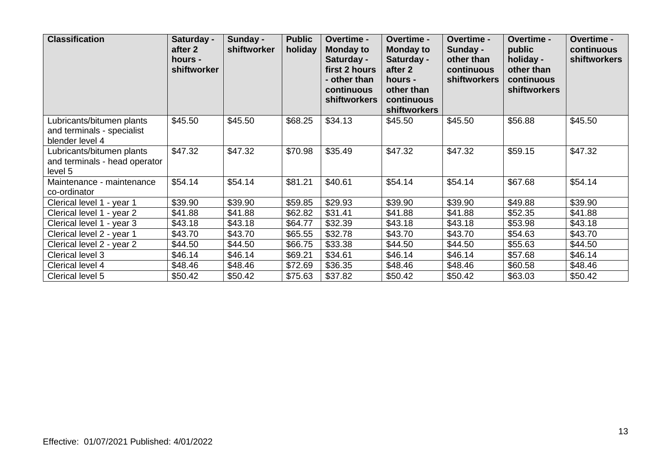| <b>Classification</b>                                                      | Saturday -<br>after 2<br>hours -<br>shiftworker | Sunday -<br>shiftworker | <b>Public</b><br>holiday | Overtime -<br><b>Monday to</b><br>Saturday -<br>first 2 hours<br>- other than<br>continuous<br><b>shiftworkers</b> | <b>Overtime -</b><br><b>Monday to</b><br>Saturday -<br>after 2<br>hours -<br>other than<br>continuous<br><b>shiftworkers</b> | Overtime -<br>Sunday -<br>other than<br>continuous<br><b>shiftworkers</b> | Overtime -<br>public<br>holiday -<br>other than<br>continuous<br>shiftworkers | Overtime -<br>continuous<br>shiftworkers |
|----------------------------------------------------------------------------|-------------------------------------------------|-------------------------|--------------------------|--------------------------------------------------------------------------------------------------------------------|------------------------------------------------------------------------------------------------------------------------------|---------------------------------------------------------------------------|-------------------------------------------------------------------------------|------------------------------------------|
| Lubricants/bitumen plants<br>and terminals - specialist<br>blender level 4 | \$45.50                                         | \$45.50                 | \$68.25                  | \$34.13                                                                                                            | \$45.50                                                                                                                      | \$45.50                                                                   | \$56.88                                                                       | \$45.50                                  |
| Lubricants/bitumen plants<br>and terminals - head operator<br>level 5      | \$47.32                                         | \$47.32                 | \$70.98                  | \$35.49                                                                                                            | \$47.32                                                                                                                      | \$47.32                                                                   | \$59.15                                                                       | \$47.32                                  |
| Maintenance - maintenance<br>co-ordinator                                  | \$54.14                                         | \$54.14                 | \$81.21                  | \$40.61                                                                                                            | \$54.14                                                                                                                      | \$54.14                                                                   | \$67.68                                                                       | \$54.14                                  |
| Clerical level 1 - year 1                                                  | \$39.90                                         | \$39.90                 | \$59.85                  | \$29.93                                                                                                            | \$39.90                                                                                                                      | \$39.90                                                                   | \$49.88                                                                       | \$39.90                                  |
| Clerical level 1 - year 2                                                  | \$41.88                                         | \$41.88                 | \$62.82                  | \$31.41                                                                                                            | \$41.88                                                                                                                      | \$41.88                                                                   | \$52.35                                                                       | \$41.88                                  |
| Clerical level 1 - year 3                                                  | \$43.18                                         | \$43.18                 | \$64.77                  | \$32.39                                                                                                            | \$43.18                                                                                                                      | \$43.18                                                                   | \$53.98                                                                       | \$43.18                                  |
| Clerical level 2 - year 1                                                  | \$43.70                                         | \$43.70                 | \$65.55                  | \$32.78                                                                                                            | \$43.70                                                                                                                      | \$43.70                                                                   | \$54.63                                                                       | \$43.70                                  |
| Clerical level 2 - year 2                                                  | \$44.50                                         | \$44.50                 | \$66.75                  | \$33.38                                                                                                            | \$44.50                                                                                                                      | \$44.50                                                                   | \$55.63                                                                       | \$44.50                                  |
| Clerical level 3                                                           | \$46.14                                         | \$46.14                 | \$69.21                  | \$34.61                                                                                                            | \$46.14                                                                                                                      | \$46.14                                                                   | \$57.68                                                                       | \$46.14                                  |
| Clerical level 4                                                           | \$48.46                                         | \$48.46                 | \$72.69                  | \$36.35                                                                                                            | \$48.46                                                                                                                      | \$48.46                                                                   | \$60.58                                                                       | \$48.46                                  |
| Clerical level 5                                                           | \$50.42                                         | \$50.42                 | \$75.63                  | \$37.82                                                                                                            | \$50.42                                                                                                                      | \$50.42                                                                   | \$63.03                                                                       | \$50.42                                  |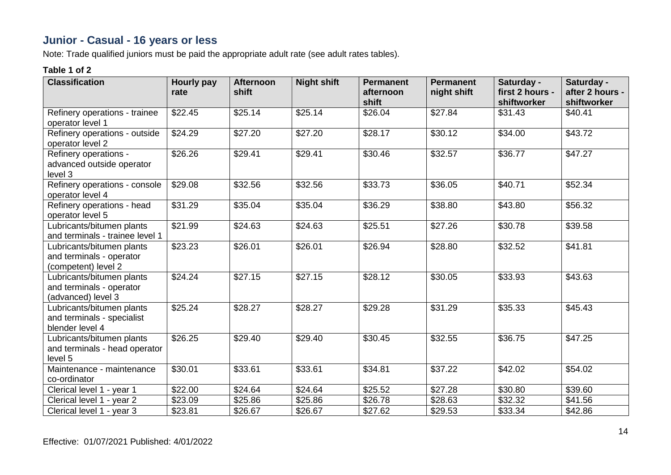# **Junior - Casual - 16 years or less**

Note: Trade qualified juniors must be paid the appropriate adult rate (see adult rates tables).

| <b>Classification</b>                                                        | Hourly pay<br>rate | <b>Afternoon</b><br>shift | <b>Night shift</b> | <b>Permanent</b><br>afternoon<br>shift | <b>Permanent</b><br>night shift | Saturday -<br>first 2 hours -<br>shiftworker | Saturday -<br>after 2 hours -<br>shiftworker |
|------------------------------------------------------------------------------|--------------------|---------------------------|--------------------|----------------------------------------|---------------------------------|----------------------------------------------|----------------------------------------------|
| Refinery operations - trainee<br>operator level 1                            | \$22.45            | \$25.14                   | \$25.14            | \$26.04                                | \$27.84                         | \$31.43                                      | \$40.41                                      |
| Refinery operations - outside<br>operator level 2                            | \$24.29            | \$27.20                   | \$27.20            | \$28.17                                | \$30.12                         | \$34.00                                      | \$43.72                                      |
| Refinery operations -<br>advanced outside operator<br>level 3                | \$26.26            | \$29.41                   | \$29.41            | \$30.46                                | \$32.57                         | \$36.77                                      | \$47.27                                      |
| Refinery operations - console<br>operator level 4                            | \$29.08            | \$32.56                   | \$32.56            | \$33.73                                | \$36.05                         | \$40.71                                      | \$52.34                                      |
| Refinery operations - head<br>operator level 5                               | \$31.29            | \$35.04                   | \$35.04            | \$36.29                                | \$38.80                         | \$43.80                                      | \$56.32                                      |
| Lubricants/bitumen plants<br>and terminals - trainee level 1                 | \$21.99            | \$24.63                   | \$24.63            | \$25.51                                | \$27.26                         | \$30.78                                      | \$39.58                                      |
| Lubricants/bitumen plants<br>and terminals - operator<br>(competent) level 2 | \$23.23            | \$26.01                   | \$26.01            | \$26.94                                | \$28.80                         | \$32.52                                      | \$41.81                                      |
| Lubricants/bitumen plants<br>and terminals - operator<br>(advanced) level 3  | \$24.24            | \$27.15                   | \$27.15            | \$28.12                                | \$30.05                         | \$33.93                                      | \$43.63                                      |
| Lubricants/bitumen plants<br>and terminals - specialist<br>blender level 4   | \$25.24            | \$28.27                   | \$28.27            | \$29.28                                | \$31.29                         | \$35.33                                      | \$45.43                                      |
| Lubricants/bitumen plants<br>and terminals - head operator<br>level 5        | \$26.25            | \$29.40                   | \$29.40            | \$30.45                                | \$32.55                         | \$36.75                                      | \$47.25                                      |
| Maintenance - maintenance<br>co-ordinator                                    | \$30.01            | \$33.61                   | \$33.61            | \$34.81                                | \$37.22                         | \$42.02                                      | \$54.02                                      |
| Clerical level 1 - year 1                                                    | \$22.00            | \$24.64                   | \$24.64            | \$25.52                                | \$27.28                         | \$30.80                                      | \$39.60                                      |
| Clerical level 1 - year 2                                                    | \$23.09            | \$25.86                   | \$25.86            | \$26.78                                | \$28.63                         | \$32.32                                      | \$41.56                                      |
| Clerical level 1 - year 3                                                    | \$23.81            | \$26.67                   | \$26.67            | \$27.62                                | \$29.53                         | \$33.34                                      | \$42.86                                      |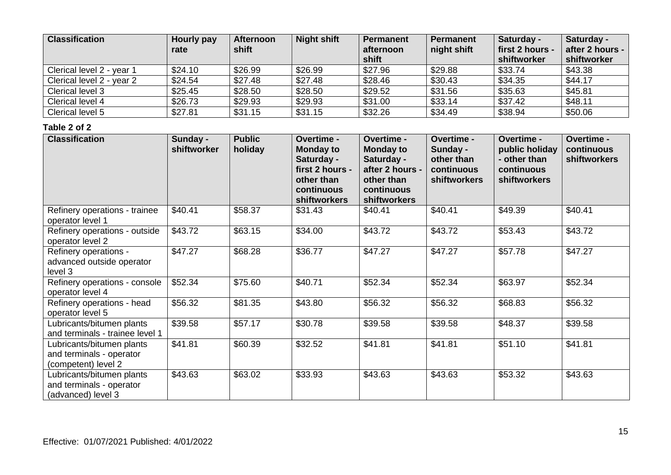| <b>Classification</b>     | Hourly pay<br>rate | <b>Afternoon</b><br>shift | <b>Night shift</b> | Permanent<br>afternoon<br>shift | <b>Permanent</b><br>night shift | Saturday -<br>first 2 hours -<br>shiftworker | Saturday -<br>after 2 hours -<br>shiftworker |
|---------------------------|--------------------|---------------------------|--------------------|---------------------------------|---------------------------------|----------------------------------------------|----------------------------------------------|
| Clerical level 2 - year 1 | \$24.10            | \$26.99                   | \$26.99            | \$27.96                         | \$29.88                         | \$33.74                                      | \$43.38                                      |
| Clerical level 2 - year 2 | \$24.54            | \$27.48                   | \$27.48            | \$28.46                         | \$30.43                         | \$34.35                                      | \$44.17                                      |
| Clerical level 3          | \$25.45            | \$28.50                   | \$28.50            | \$29.52                         | \$31.56                         | \$35.63                                      | \$45.81                                      |
| Clerical level 4          | \$26.73            | \$29.93                   | \$29.93            | \$31.00                         | \$33.14                         | \$37.42                                      | \$48.11                                      |
| Clerical level 5          | \$27.81            | \$31.15                   | \$31.15            | \$32.26                         | \$34.49                         | \$38.94                                      | \$50.06                                      |

| <b>Classification</b>                                                        | Sunday -<br>shiftworker | <b>Public</b><br>holiday | Overtime -<br><b>Monday to</b><br>Saturday -<br>first 2 hours -<br>other than<br>continuous<br><b>shiftworkers</b> | Overtime -<br><b>Monday to</b><br>Saturday -<br>after 2 hours -<br>other than<br>continuous<br><b>shiftworkers</b> | Overtime -<br>Sunday -<br>other than<br>continuous<br><b>shiftworkers</b> | Overtime -<br>public holiday<br>- other than<br>continuous<br><b>shiftworkers</b> | Overtime -<br>continuous<br>shiftworkers |
|------------------------------------------------------------------------------|-------------------------|--------------------------|--------------------------------------------------------------------------------------------------------------------|--------------------------------------------------------------------------------------------------------------------|---------------------------------------------------------------------------|-----------------------------------------------------------------------------------|------------------------------------------|
| Refinery operations - trainee<br>operator level 1                            | \$40.41                 | \$58.37                  | \$31.43                                                                                                            | \$40.41                                                                                                            | \$40.41                                                                   | \$49.39                                                                           | \$40.41                                  |
| Refinery operations - outside<br>operator level 2                            | \$43.72                 | \$63.15                  | \$34.00                                                                                                            | \$43.72                                                                                                            | \$43.72                                                                   | \$53.43                                                                           | \$43.72                                  |
| Refinery operations -<br>advanced outside operator<br>level 3                | \$47.27                 | \$68.28                  | \$36.77                                                                                                            | \$47.27                                                                                                            | \$47.27                                                                   | \$57.78                                                                           | \$47.27                                  |
| Refinery operations - console<br>operator level 4                            | \$52.34                 | \$75.60                  | \$40.71                                                                                                            | \$52.34                                                                                                            | \$52.34                                                                   | \$63.97                                                                           | \$52.34                                  |
| Refinery operations - head<br>operator level 5                               | \$56.32                 | \$81.35                  | \$43.80                                                                                                            | \$56.32                                                                                                            | \$56.32                                                                   | \$68.83                                                                           | \$56.32                                  |
| Lubricants/bitumen plants<br>and terminals - trainee level 1                 | \$39.58                 | \$57.17                  | \$30.78                                                                                                            | \$39.58                                                                                                            | \$39.58                                                                   | \$48.37                                                                           | \$39.58                                  |
| Lubricants/bitumen plants<br>and terminals - operator<br>(competent) level 2 | \$41.81                 | \$60.39                  | \$32.52                                                                                                            | \$41.81                                                                                                            | \$41.81                                                                   | \$51.10                                                                           | \$41.81                                  |
| Lubricants/bitumen plants<br>and terminals - operator<br>(advanced) level 3  | \$43.63                 | \$63.02                  | \$33.93                                                                                                            | \$43.63                                                                                                            | \$43.63                                                                   | \$53.32                                                                           | \$43.63                                  |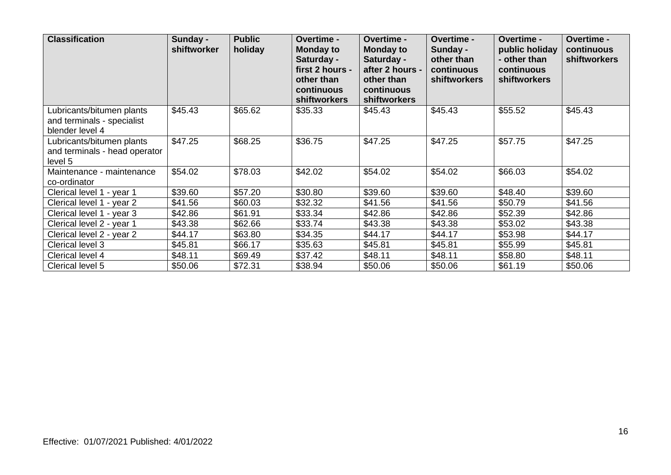| <b>Classification</b>                                                      | Sunday -<br>shiftworker | <b>Public</b><br>holiday | <b>Overtime -</b><br><b>Monday to</b><br>Saturday -<br>first 2 hours -<br>other than<br>continuous<br>shiftworkers | <b>Overtime -</b><br><b>Monday to</b><br>Saturday -<br>after 2 hours -<br>other than<br>continuous<br><b>shiftworkers</b> | <b>Overtime -</b><br>Sunday -<br>other than<br>continuous<br>shiftworkers | Overtime -<br>public holiday<br>- other than<br>continuous<br><b>shiftworkers</b> | <b>Overtime -</b><br>continuous<br>shiftworkers |
|----------------------------------------------------------------------------|-------------------------|--------------------------|--------------------------------------------------------------------------------------------------------------------|---------------------------------------------------------------------------------------------------------------------------|---------------------------------------------------------------------------|-----------------------------------------------------------------------------------|-------------------------------------------------|
| Lubricants/bitumen plants<br>and terminals - specialist<br>blender level 4 | \$45.43                 | \$65.62                  | \$35.33                                                                                                            | \$45.43                                                                                                                   | \$45.43                                                                   | \$55.52                                                                           | \$45.43                                         |
| Lubricants/bitumen plants<br>and terminals - head operator<br>level 5      | \$47.25                 | \$68.25                  | \$36.75                                                                                                            | \$47.25                                                                                                                   | \$47.25                                                                   | \$57.75                                                                           | \$47.25                                         |
| Maintenance - maintenance<br>co-ordinator                                  | \$54.02                 | \$78.03                  | \$42.02                                                                                                            | \$54.02                                                                                                                   | \$54.02                                                                   | \$66.03                                                                           | \$54.02                                         |
| Clerical level 1 - year 1                                                  | \$39.60                 | \$57.20                  | \$30.80                                                                                                            | \$39.60                                                                                                                   | \$39.60                                                                   | \$48.40                                                                           | \$39.60                                         |
| Clerical level 1 - year 2                                                  | \$41.56                 | \$60.03                  | \$32.32                                                                                                            | \$41.56                                                                                                                   | \$41.56                                                                   | \$50.79                                                                           | \$41.56                                         |
| Clerical level 1 - year 3                                                  | \$42.86                 | \$61.91                  | \$33.34                                                                                                            | \$42.86                                                                                                                   | \$42.86                                                                   | \$52.39                                                                           | \$42.86                                         |
| Clerical level 2 - year 1                                                  | \$43.38                 | \$62.66                  | \$33.74                                                                                                            | \$43.38                                                                                                                   | \$43.38                                                                   | \$53.02                                                                           | \$43.38                                         |
| Clerical level 2 - year 2                                                  | \$44.17                 | \$63.80                  | \$34.35                                                                                                            | \$44.17                                                                                                                   | \$44.17                                                                   | \$53.98                                                                           | \$44.17                                         |
| Clerical level 3                                                           | \$45.81                 | \$66.17                  | \$35.63                                                                                                            | \$45.81                                                                                                                   | \$45.81                                                                   | \$55.99                                                                           | \$45.81                                         |
| Clerical level 4                                                           | \$48.11                 | \$69.49                  | \$37.42                                                                                                            | \$48.11                                                                                                                   | \$48.11                                                                   | \$58.80                                                                           | \$48.11                                         |
| Clerical level 5                                                           | \$50.06                 | \$72.31                  | \$38.94                                                                                                            | \$50.06                                                                                                                   | \$50.06                                                                   | \$61.19                                                                           | \$50.06                                         |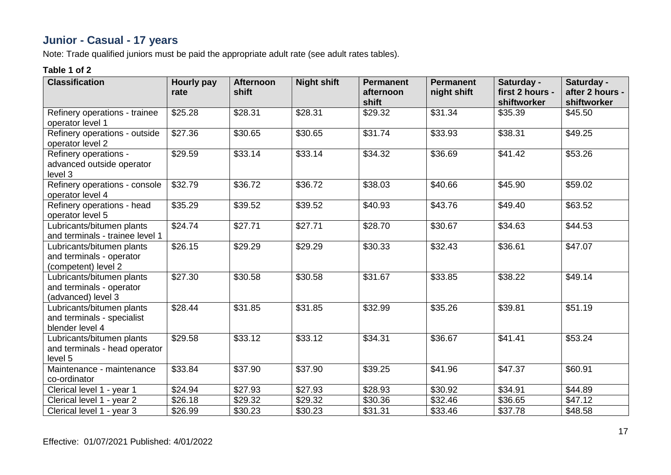# **Junior - Casual - 17 years**

Note: Trade qualified juniors must be paid the appropriate adult rate (see adult rates tables).

| <b>Classification</b>                                                        | Hourly pay<br>rate | <b>Afternoon</b><br>shift | <b>Night shift</b> | <b>Permanent</b><br>afternoon<br>shift | <b>Permanent</b><br>night shift | Saturday -<br>first 2 hours -<br>shiftworker | Saturday -<br>after 2 hours -<br>shiftworker |
|------------------------------------------------------------------------------|--------------------|---------------------------|--------------------|----------------------------------------|---------------------------------|----------------------------------------------|----------------------------------------------|
| Refinery operations - trainee<br>operator level 1                            | \$25.28            | \$28.31                   | \$28.31            | \$29.32                                | \$31.34                         | \$35.39                                      | \$45.50                                      |
| Refinery operations - outside<br>operator level 2                            | \$27.36            | \$30.65                   | \$30.65            | \$31.74                                | \$33.93                         | \$38.31                                      | \$49.25                                      |
| Refinery operations -<br>advanced outside operator<br>level 3                | \$29.59            | \$33.14                   | \$33.14            | \$34.32                                | \$36.69                         | \$41.42                                      | \$53.26                                      |
| Refinery operations - console<br>operator level 4                            | \$32.79            | \$36.72                   | \$36.72            | \$38.03                                | \$40.66                         | \$45.90                                      | \$59.02                                      |
| Refinery operations - head<br>operator level 5                               | \$35.29            | \$39.52                   | \$39.52            | \$40.93                                | \$43.76                         | \$49.40                                      | \$63.52                                      |
| Lubricants/bitumen plants<br>and terminals - trainee level 1                 | \$24.74            | \$27.71                   | \$27.71            | \$28.70                                | \$30.67                         | \$34.63                                      | \$44.53                                      |
| Lubricants/bitumen plants<br>and terminals - operator<br>(competent) level 2 | \$26.15            | \$29.29                   | \$29.29            | \$30.33                                | \$32.43                         | \$36.61                                      | \$47.07                                      |
| Lubricants/bitumen plants<br>and terminals - operator<br>(advanced) level 3  | \$27.30            | \$30.58                   | \$30.58            | \$31.67                                | \$33.85                         | \$38.22                                      | \$49.14                                      |
| Lubricants/bitumen plants<br>and terminals - specialist<br>blender level 4   | \$28.44            | \$31.85                   | \$31.85            | \$32.99                                | \$35.26                         | \$39.81                                      | \$51.19                                      |
| Lubricants/bitumen plants<br>and terminals - head operator<br>level 5        | \$29.58            | \$33.12                   | \$33.12            | \$34.31                                | \$36.67                         | \$41.41                                      | \$53.24                                      |
| Maintenance - maintenance<br>co-ordinator                                    | \$33.84            | \$37.90                   | \$37.90            | \$39.25                                | \$41.96                         | \$47.37                                      | \$60.91                                      |
| Clerical level 1 - year 1                                                    | \$24.94            | \$27.93                   | \$27.93            | \$28.93                                | \$30.92                         | \$34.91                                      | \$44.89                                      |
| Clerical level 1 - year 2                                                    | \$26.18            | \$29.32                   | \$29.32            | \$30.36                                | \$32.46                         | \$36.65                                      | \$47.12                                      |
| Clerical level 1 - year 3                                                    | \$26.99            | \$30.23                   | \$30.23            | \$31.31                                | \$33.46                         | \$37.78                                      | \$48.58                                      |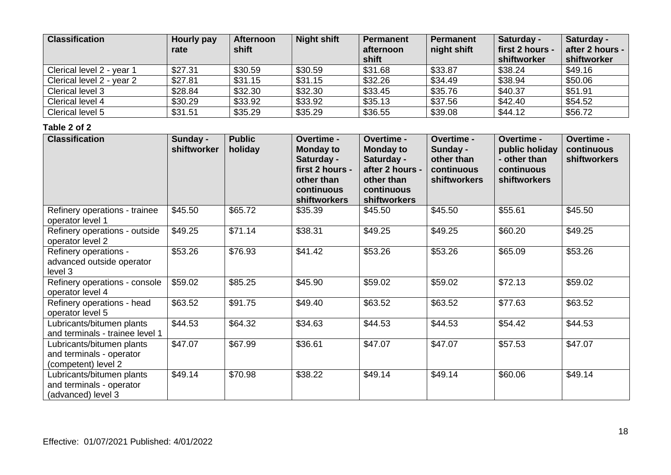| <b>Classification</b>     | Hourly pay<br>rate | <b>Afternoon</b><br>shift | <b>Night shift</b> | Permanent<br>afternoon<br>shift | <b>Permanent</b><br>night shift | Saturday -<br>first 2 hours -<br>shiftworker | Saturday -<br>after 2 hours -<br>shiftworker |
|---------------------------|--------------------|---------------------------|--------------------|---------------------------------|---------------------------------|----------------------------------------------|----------------------------------------------|
| Clerical level 2 - year 1 | \$27.31            | \$30.59                   | \$30.59            | \$31.68                         | \$33.87                         | \$38.24                                      | \$49.16                                      |
| Clerical level 2 - year 2 | \$27.81            | \$31.15                   | \$31.15            | \$32.26                         | \$34.49                         | \$38.94                                      | \$50.06                                      |
| Clerical level 3          | \$28.84            | \$32.30                   | \$32.30            | \$33.45                         | \$35.76                         | \$40.37                                      | \$51.91                                      |
| Clerical level 4          | \$30.29            | \$33.92                   | \$33.92            | \$35.13                         | \$37.56                         | \$42.40                                      | \$54.52                                      |
| Clerical level 5          | \$31.51            | \$35.29                   | \$35.29            | \$36.55                         | \$39.08                         | \$44.12                                      | \$56.72                                      |

| <b>Classification</b>                                                        | Sunday -<br>shiftworker | <b>Public</b><br>holiday | Overtime -<br><b>Monday to</b><br>Saturday -<br>first 2 hours -<br>other than<br>continuous<br>shiftworkers | Overtime -<br><b>Monday to</b><br>Saturday -<br>after 2 hours -<br>other than<br>continuous<br><b>shiftworkers</b> | <b>Overtime -</b><br>Sunday -<br>other than<br>continuous<br><b>shiftworkers</b> | <b>Overtime -</b><br>public holiday<br>- other than<br>continuous<br><b>shiftworkers</b> | Overtime -<br>continuous<br>shiftworkers |
|------------------------------------------------------------------------------|-------------------------|--------------------------|-------------------------------------------------------------------------------------------------------------|--------------------------------------------------------------------------------------------------------------------|----------------------------------------------------------------------------------|------------------------------------------------------------------------------------------|------------------------------------------|
| Refinery operations - trainee<br>operator level 1                            | \$45.50                 | \$65.72                  | \$35.39                                                                                                     | \$45.50                                                                                                            | \$45.50                                                                          | \$55.61                                                                                  | \$45.50                                  |
| Refinery operations - outside<br>operator level 2                            | \$49.25                 | \$71.14                  | \$38.31                                                                                                     | \$49.25                                                                                                            | \$49.25                                                                          | \$60.20                                                                                  | \$49.25                                  |
| Refinery operations -<br>advanced outside operator<br>level 3                | \$53.26                 | \$76.93                  | \$41.42                                                                                                     | \$53.26                                                                                                            | \$53.26                                                                          | \$65.09                                                                                  | \$53.26                                  |
| Refinery operations - console<br>operator level 4                            | \$59.02                 | \$85.25                  | \$45.90                                                                                                     | \$59.02                                                                                                            | \$59.02                                                                          | \$72.13                                                                                  | \$59.02                                  |
| Refinery operations - head<br>operator level 5                               | \$63.52                 | \$91.75                  | \$49.40                                                                                                     | \$63.52                                                                                                            | \$63.52                                                                          | \$77.63                                                                                  | \$63.52                                  |
| Lubricants/bitumen plants<br>and terminals - trainee level 1                 | \$44.53                 | \$64.32                  | \$34.63                                                                                                     | \$44.53                                                                                                            | \$44.53                                                                          | \$54.42                                                                                  | \$44.53                                  |
| Lubricants/bitumen plants<br>and terminals - operator<br>(competent) level 2 | \$47.07                 | \$67.99                  | \$36.61                                                                                                     | \$47.07                                                                                                            | \$47.07                                                                          | \$57.53                                                                                  | \$47.07                                  |
| Lubricants/bitumen plants<br>and terminals - operator<br>(advanced) level 3  | \$49.14                 | \$70.98                  | \$38.22                                                                                                     | \$49.14                                                                                                            | \$49.14                                                                          | \$60.06                                                                                  | \$49.14                                  |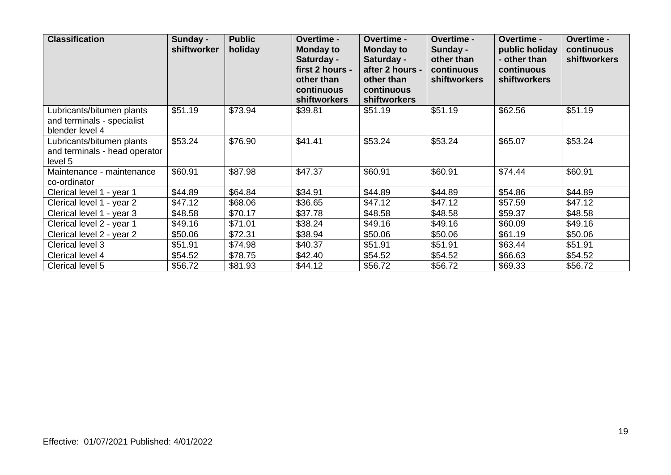| <b>Classification</b>                                                      | Sunday -<br>shiftworker | <b>Public</b><br>holiday | <b>Overtime -</b><br><b>Monday to</b><br>Saturday -<br>first 2 hours -<br>other than<br>continuous<br><b>shiftworkers</b> | <b>Overtime -</b><br><b>Monday to</b><br>Saturday -<br>after 2 hours -<br>other than<br>continuous<br>shiftworkers | Overtime -<br>Sunday -<br>other than<br>continuous<br>shiftworkers | <b>Overtime -</b><br>public holiday<br>- other than<br>continuous<br><b>shiftworkers</b> | <b>Overtime -</b><br>continuous<br>shiftworkers |
|----------------------------------------------------------------------------|-------------------------|--------------------------|---------------------------------------------------------------------------------------------------------------------------|--------------------------------------------------------------------------------------------------------------------|--------------------------------------------------------------------|------------------------------------------------------------------------------------------|-------------------------------------------------|
| Lubricants/bitumen plants<br>and terminals - specialist<br>blender level 4 | \$51.19                 | \$73.94                  | \$39.81                                                                                                                   | \$51.19                                                                                                            | \$51.19                                                            | \$62.56                                                                                  | \$51.19                                         |
| Lubricants/bitumen plants<br>and terminals - head operator<br>level 5      | \$53.24                 | \$76.90                  | \$41.41                                                                                                                   | \$53.24                                                                                                            | \$53.24                                                            | \$65.07                                                                                  | \$53.24                                         |
| Maintenance - maintenance<br>co-ordinator                                  | \$60.91                 | \$87.98                  | \$47.37                                                                                                                   | \$60.91                                                                                                            | \$60.91                                                            | \$74.44                                                                                  | \$60.91                                         |
| Clerical level 1 - year 1                                                  | \$44.89                 | \$64.84                  | \$34.91                                                                                                                   | \$44.89                                                                                                            | \$44.89                                                            | \$54.86                                                                                  | \$44.89                                         |
| Clerical level 1 - year 2                                                  | \$47.12                 | \$68.06                  | \$36.65                                                                                                                   | \$47.12                                                                                                            | \$47.12                                                            | \$57.59                                                                                  | \$47.12                                         |
| Clerical level 1 - year 3                                                  | \$48.58                 | \$70.17                  | \$37.78                                                                                                                   | \$48.58                                                                                                            | \$48.58                                                            | \$59.37                                                                                  | \$48.58                                         |
| Clerical level 2 - year 1                                                  | \$49.16                 | \$71.01                  | \$38.24                                                                                                                   | \$49.16                                                                                                            | \$49.16                                                            | \$60.09                                                                                  | \$49.16                                         |
| Clerical level 2 - year 2                                                  | \$50.06                 | \$72.31                  | \$38.94                                                                                                                   | \$50.06                                                                                                            | \$50.06                                                            | \$61.19                                                                                  | \$50.06                                         |
| Clerical level 3                                                           | \$51.91                 | \$74.98                  | \$40.37                                                                                                                   | \$51.91                                                                                                            | \$51.91                                                            | \$63.44                                                                                  | \$51.91                                         |
| Clerical level 4                                                           | \$54.52                 | \$78.75                  | \$42.40                                                                                                                   | \$54.52                                                                                                            | \$54.52                                                            | \$66.63                                                                                  | \$54.52                                         |
| Clerical level 5                                                           | \$56.72                 | \$81.93                  | \$44.12                                                                                                                   | \$56.72                                                                                                            | \$56.72                                                            | \$69.33                                                                                  | \$56.72                                         |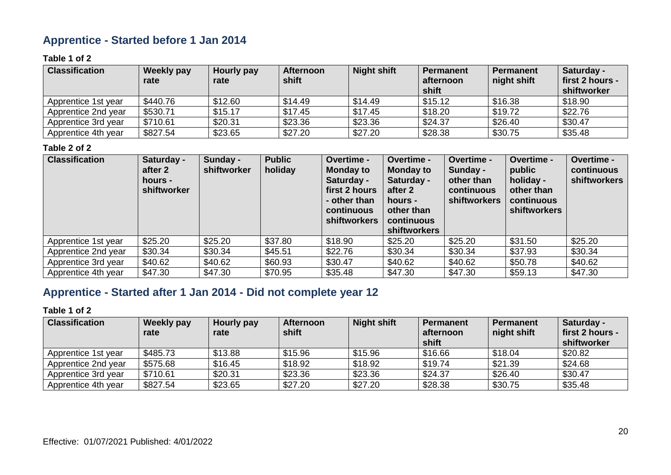## **Apprentice - Started before 1 Jan 2014**

### **Table 1 of 2**

| <b>Classification</b> | <b>Weekly pay</b><br>rate | Hourly pay<br>rate | <b>Afternoon</b><br>shift | <b>Night shift</b> | <b>Permanent</b><br>afternoon<br>shift | <b>Permanent</b><br>night shift | Saturday -<br>first 2 hours -<br>shiftworker |
|-----------------------|---------------------------|--------------------|---------------------------|--------------------|----------------------------------------|---------------------------------|----------------------------------------------|
| Apprentice 1st year   | \$440.76                  | \$12.60            | \$14.49                   | \$14.49            | \$15.12                                | \$16.38                         | \$18.90                                      |
| Apprentice 2nd year   | \$530.71                  | \$15.17            | \$17.45                   | \$17.45            | \$18.20                                | \$19.72                         | \$22.76                                      |
| Apprentice 3rd year   | \$710.61                  | \$20.31            | \$23.36                   | \$23.36            | \$24.37                                | \$26.40                         | \$30.47                                      |
| Apprentice 4th year   | \$827.54                  | \$23.65            | \$27.20                   | \$27.20            | \$28.38                                | \$30.75                         | \$35.48                                      |

### **Table 2 of 2**

| <b>Classification</b> | Saturday -<br>after 2<br>hours -<br>shiftworker | Sunday -<br>shiftworker | <b>Public</b><br>holiday | Overtime -<br><b>Monday to</b><br>Saturday -<br>first 2 hours<br>- other than<br>continuous<br><b>shiftworkers</b> | Overtime -<br><b>Monday to</b><br>Saturday -<br>after 2<br>hours -<br>other than<br>continuous<br><b>shiftworkers</b> | <b>Overtime -</b><br>Sunday -<br>other than<br>continuous<br><b>shiftworkers</b> | Overtime -<br>public<br>holiday -<br>other than<br>continuous<br>shiftworkers | Overtime -<br>continuous<br><b>shiftworkers</b> |
|-----------------------|-------------------------------------------------|-------------------------|--------------------------|--------------------------------------------------------------------------------------------------------------------|-----------------------------------------------------------------------------------------------------------------------|----------------------------------------------------------------------------------|-------------------------------------------------------------------------------|-------------------------------------------------|
| Apprentice 1st year   | \$25.20                                         | \$25.20                 | \$37.80                  | \$18.90                                                                                                            | \$25.20                                                                                                               | \$25.20                                                                          | \$31.50                                                                       | \$25.20                                         |
| Apprentice 2nd year   | \$30.34                                         | \$30.34                 | \$45.51                  | \$22.76                                                                                                            | \$30.34                                                                                                               | \$30.34                                                                          | \$37.93                                                                       | \$30.34                                         |
| Apprentice 3rd year   | \$40.62                                         | \$40.62                 | \$60.93                  | \$30.47                                                                                                            | \$40.62                                                                                                               | \$40.62                                                                          | \$50.78                                                                       | \$40.62                                         |
| Apprentice 4th year   | \$47.30                                         | \$47.30                 | \$70.95                  | \$35.48                                                                                                            | \$47.30                                                                                                               | \$47.30                                                                          | \$59.13                                                                       | \$47.30                                         |

## **Apprentice - Started after 1 Jan 2014 - Did not complete year 12**

| <b>Classification</b> | <b>Weekly pay</b><br>rate | Hourly pay<br>rate | <b>Afternoon</b><br>shift | <b>Night shift</b> | <b>Permanent</b><br>afternoon<br>shift | <b>Permanent</b><br>night shift | Saturday -<br>first 2 hours -<br>shiftworker |
|-----------------------|---------------------------|--------------------|---------------------------|--------------------|----------------------------------------|---------------------------------|----------------------------------------------|
| Apprentice 1st year   | \$485.73                  | \$13.88            | \$15.96                   | \$15.96            | \$16.66                                | \$18.04                         | \$20.82                                      |
| Apprentice 2nd year   | \$575.68                  | \$16.45            | \$18.92                   | \$18.92            | \$19.74                                | \$21.39                         | \$24.68                                      |
| Apprentice 3rd year   | \$710.61                  | \$20.31            | \$23.36                   | \$23.36            | \$24.37                                | \$26.40                         | \$30.47                                      |
| Apprentice 4th year   | \$827.54                  | \$23.65            | \$27.20                   | \$27.20            | \$28.38                                | \$30.75                         | \$35.48                                      |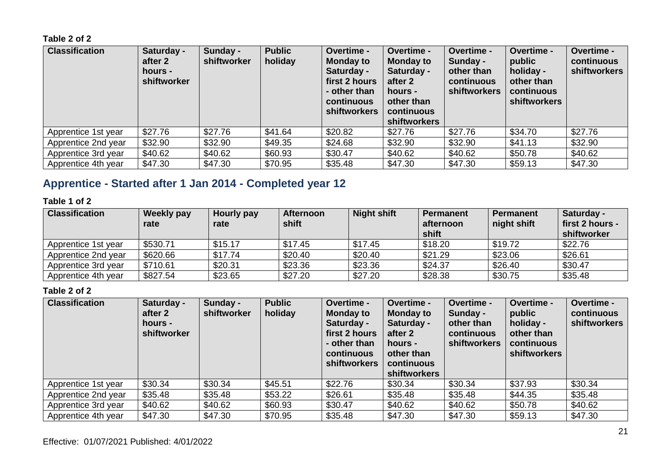| <b>Classification</b> | Saturday -<br>after 2<br>hours -<br>shiftworker | Sunday -<br>shiftworker | <b>Public</b><br>holiday | Overtime -<br><b>Monday to</b><br>Saturday -<br>first 2 hours<br>- other than<br><b>continuous</b><br><b>shiftworkers</b> | Overtime -<br><b>Monday to</b><br>Saturday -<br>after 2<br>hours -<br>other than<br>continuous<br><b>shiftworkers</b> | Overtime -<br>Sunday -<br>other than<br>continuous<br><b>shiftworkers</b> | <b>Overtime -</b><br>public<br>holiday -<br>other than<br>continuous<br>shiftworkers | Overtime -<br>continuous<br><b>shiftworkers</b> |
|-----------------------|-------------------------------------------------|-------------------------|--------------------------|---------------------------------------------------------------------------------------------------------------------------|-----------------------------------------------------------------------------------------------------------------------|---------------------------------------------------------------------------|--------------------------------------------------------------------------------------|-------------------------------------------------|
| Apprentice 1st year   | \$27.76                                         | \$27.76                 | \$41.64                  | \$20.82                                                                                                                   | \$27.76                                                                                                               | \$27.76                                                                   | \$34.70                                                                              | \$27.76                                         |
| Apprentice 2nd year   | \$32.90                                         | \$32.90                 | \$49.35                  | \$24.68                                                                                                                   | \$32.90                                                                                                               | \$32.90                                                                   | \$41.13                                                                              | \$32.90                                         |
| Apprentice 3rd year   | \$40.62                                         | \$40.62                 | \$60.93                  | \$30.47                                                                                                                   | \$40.62                                                                                                               | \$40.62                                                                   | \$50.78                                                                              | \$40.62                                         |
| Apprentice 4th year   | \$47.30                                         | \$47.30                 | \$70.95                  | \$35.48                                                                                                                   | \$47.30                                                                                                               | \$47.30                                                                   | \$59.13                                                                              | \$47.30                                         |

# **Apprentice - Started after 1 Jan 2014 - Completed year 12**

### **Table 1 of 2**

| <b>Classification</b> | Weekly pay<br>rate | Hourly pay<br>rate | <b>Afternoon</b><br>shift | <b>Night shift</b> | <b>Permanent</b><br>afternoon<br>shift | <b>Permanent</b><br>night shift | Saturday -<br>first 2 hours -<br>shiftworker |
|-----------------------|--------------------|--------------------|---------------------------|--------------------|----------------------------------------|---------------------------------|----------------------------------------------|
| Apprentice 1st year   | \$530.71           | \$15.17            | \$17.45                   | \$17.45            | \$18.20                                | \$19.72                         | \$22.76                                      |
| Apprentice 2nd year   | \$620.66           | \$17.74            | \$20.40                   | \$20.40            | \$21.29                                | \$23.06                         | \$26.61                                      |
| Apprentice 3rd year   | \$710.61           | \$20.31            | \$23.36                   | \$23.36            | \$24.37                                | \$26.40                         | \$30.47                                      |
| Apprentice 4th year   | \$827.54           | \$23.65            | \$27.20                   | \$27.20            | \$28.38                                | \$30.75                         | \$35.48                                      |

| <b>Classification</b> | Saturday -<br>after 2<br>hours -<br>shiftworker | Sunday -<br>shiftworker | <b>Public</b><br>holiday | Overtime -<br><b>Monday to</b><br>Saturday -<br>first 2 hours<br>- other than<br>continuous<br><b>shiftworkers</b> | Overtime -<br><b>Monday to</b><br>Saturday -<br>after 2<br>hours -<br>other than<br>continuous<br><b>shiftworkers</b> | Overtime -<br>Sunday -<br>other than<br>continuous<br><b>shiftworkers</b> | <b>Overtime -</b><br>public<br>holiday -<br>other than<br>continuous<br>shiftworkers | Overtime -<br>continuous<br><b>shiftworkers</b> |
|-----------------------|-------------------------------------------------|-------------------------|--------------------------|--------------------------------------------------------------------------------------------------------------------|-----------------------------------------------------------------------------------------------------------------------|---------------------------------------------------------------------------|--------------------------------------------------------------------------------------|-------------------------------------------------|
| Apprentice 1st year   | \$30.34                                         | \$30.34                 | \$45.51                  | \$22.76                                                                                                            | \$30.34                                                                                                               | \$30.34                                                                   | \$37.93                                                                              | \$30.34                                         |
| Apprentice 2nd year   | \$35.48                                         | \$35.48                 | \$53.22                  | \$26.61                                                                                                            | \$35.48                                                                                                               | \$35.48                                                                   | \$44.35                                                                              | \$35.48                                         |
| Apprentice 3rd year   | \$40.62                                         | \$40.62                 | \$60.93                  | \$30.47                                                                                                            | \$40.62                                                                                                               | \$40.62                                                                   | \$50.78                                                                              | \$40.62                                         |
| Apprentice 4th year   | \$47.30                                         | \$47.30                 | \$70.95                  | \$35.48                                                                                                            | \$47.30                                                                                                               | \$47.30                                                                   | \$59.13                                                                              | \$47.30                                         |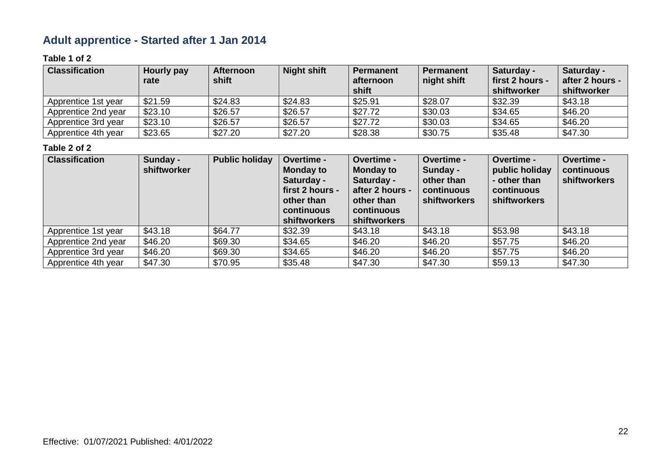# **Adult apprentice - Started after 1 Jan 2014**

### **Table 1 of 2**

| <b>Classification</b> | Hourly pay<br>rate | <b>Afternoon</b><br>shift | <b>Night shift</b> | <b>Permanent</b><br>afternoon<br>shift | <b>Permanent</b><br>night shift | Saturday -<br>first 2 hours -<br>shiftworker | Saturday -<br>after 2 hours -<br>shiftworker |
|-----------------------|--------------------|---------------------------|--------------------|----------------------------------------|---------------------------------|----------------------------------------------|----------------------------------------------|
| Apprentice 1st year   | \$21.59            | \$24.83                   | \$24.83            | \$25.91                                | \$28.07                         | \$32.39                                      | \$43.18                                      |
| Apprentice 2nd year   | \$23.10            | \$26.57                   | \$26.57            | \$27.72                                | \$30.03                         | \$34.65                                      | \$46.20                                      |
| Apprentice 3rd year   | \$23.10            | \$26.57                   | \$26.57            | \$27.72                                | \$30.03                         | \$34.65                                      | \$46.20                                      |
| Apprentice 4th year   | \$23.65            | \$27.20                   | \$27.20            | \$28.38                                | \$30.75                         | \$35.48                                      | \$47.30                                      |

| <b>Classification</b> | Sunday -<br>shiftworker | <b>Public holiday</b> | Overtime -<br><b>Monday to</b><br>Saturday -<br>first 2 hours -<br>other than<br>continuous<br><b>shiftworkers</b> | Overtime -<br><b>Monday to</b><br>Saturday -<br>after 2 hours -<br>other than<br>continuous<br><b>shiftworkers</b> | <b>Overtime -</b><br>Sunday -<br>other than<br>continuous<br><b>shiftworkers</b> | Overtime -<br>public holiday<br>- other than<br>continuous<br><b>shiftworkers</b> | <b>Overtime -</b><br>continuous<br>shiftworkers |
|-----------------------|-------------------------|-----------------------|--------------------------------------------------------------------------------------------------------------------|--------------------------------------------------------------------------------------------------------------------|----------------------------------------------------------------------------------|-----------------------------------------------------------------------------------|-------------------------------------------------|
| Apprentice 1st year   | \$43.18                 | \$64.77               | \$32.39                                                                                                            | \$43.18                                                                                                            | \$43.18                                                                          | \$53.98                                                                           | \$43.18                                         |
| Apprentice 2nd year   | \$46.20                 | \$69.30               | \$34.65                                                                                                            | \$46.20                                                                                                            | \$46.20                                                                          | \$57.75                                                                           | \$46.20                                         |
| Apprentice 3rd year   | \$46.20                 | \$69.30               | \$34.65                                                                                                            | \$46.20                                                                                                            | \$46.20                                                                          | \$57.75                                                                           | \$46.20                                         |
| Apprentice 4th year   | \$47.30                 | \$70.95               | \$35.48                                                                                                            | \$47.30                                                                                                            | \$47.30                                                                          | \$59.13                                                                           | \$47.30                                         |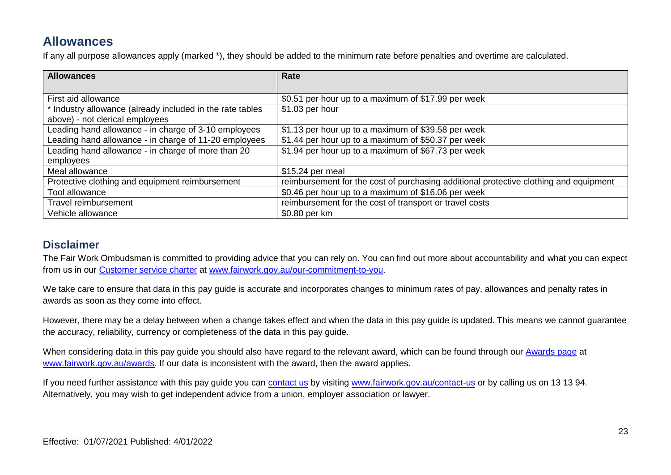# **Allowances**

If any all purpose allowances apply (marked \*), they should be added to the minimum rate before penalties and overtime are calculated.

| <b>Allowances</b>                                         | Rate                                                                                  |
|-----------------------------------------------------------|---------------------------------------------------------------------------------------|
|                                                           |                                                                                       |
| First aid allowance                                       | \$0.51 per hour up to a maximum of \$17.99 per week                                   |
| * Industry allowance (already included in the rate tables | \$1.03 per hour                                                                       |
| above) - not clerical employees                           |                                                                                       |
| Leading hand allowance - in charge of 3-10 employees      | \$1.13 per hour up to a maximum of \$39.58 per week                                   |
| Leading hand allowance - in charge of 11-20 employees     | \$1.44 per hour up to a maximum of \$50.37 per week                                   |
| Leading hand allowance - in charge of more than 20        | \$1.94 per hour up to a maximum of \$67.73 per week                                   |
| employees                                                 |                                                                                       |
| Meal allowance                                            | \$15.24 per meal                                                                      |
| Protective clothing and equipment reimbursement           | reimbursement for the cost of purchasing additional protective clothing and equipment |
| Tool allowance                                            | \$0.46 per hour up to a maximum of \$16.06 per week                                   |
| Travel reimbursement                                      | reimbursement for the cost of transport or travel costs                               |
| Vehicle allowance                                         | \$0.80 per km                                                                         |

### **Disclaimer**

The Fair Work Ombudsman is committed to providing advice that you can rely on. You can find out more about accountability and what you can expect from us in our [Customer service charter](https://www.fairwork.gov.au/about-us/our-role-and-purpose/our-priorities/our-commitment-to-you#customer-service-charter) at [www.fairwork.gov.au/our-commitment-to-you.](http://www.fairwork.gov.au/our-commitment-to-you)

We take care to ensure that data in this pay guide is accurate and incorporates changes to minimum rates of pay, allowances and penalty rates in awards as soon as they come into effect.

However, there may be a delay between when a change takes effect and when the data in this pay guide is updated. This means we cannot guarantee the accuracy, reliability, currency or completeness of the data in this pay guide.

When considering data in this pay guide you should also have regard to the relevant award, which can be found through our [Awards page](https://www.fairwork.gov.au/awards-and-agreements/awards) at [www.fairwork.gov.au/awards.](http://www.fairwork.gov.au/awards) If our data is inconsistent with the award, then the award applies.

If you need further assistance with this pay guide you can [contact us](http://www.fairwork.gov.au/contact-us) by visiting [www.fairwork.gov.au/contact-us](http://www.fairwork.gov.au/contact-us) or by calling us on 13 13 94. Alternatively, you may wish to get independent advice from a union, employer association or lawyer.